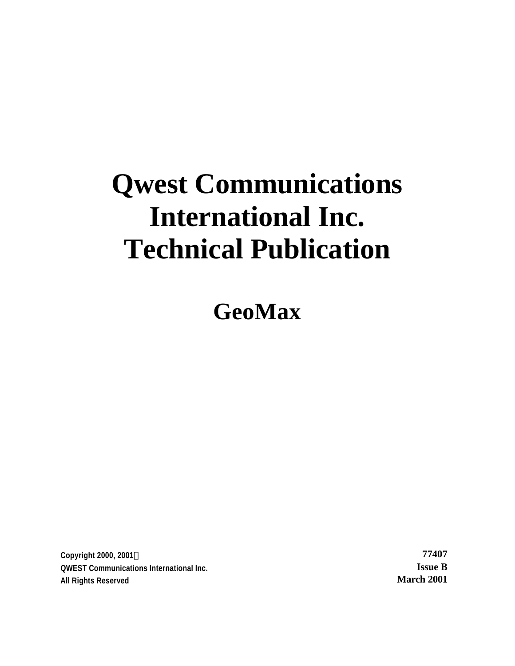# **Qwest Communications International Inc. Technical Publication**

**GeoMax**

**Copyright 2000, 2001Ó 77407 QWEST Communications International Inc. Issue B All Rights Reserved March 2001**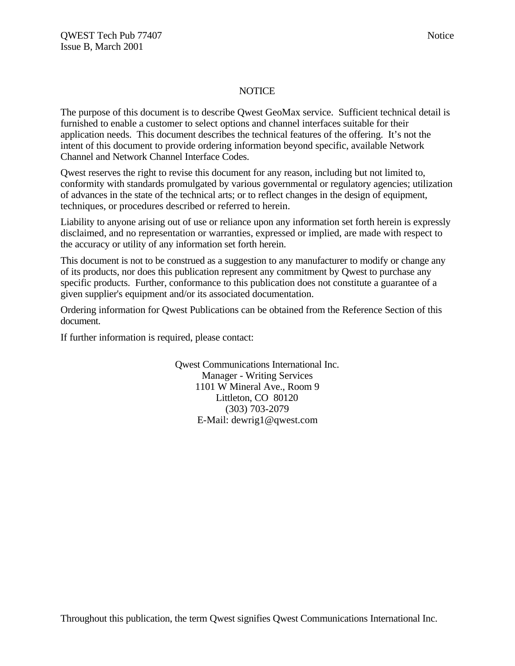# NOTICE

The purpose of this document is to describe Qwest GeoMax service. Sufficient technical detail is furnished to enable a customer to select options and channel interfaces suitable for their application needs. This document describes the technical features of the offering. It's not the intent of this document to provide ordering information beyond specific, available Network Channel and Network Channel Interface Codes.

Qwest reserves the right to revise this document for any reason, including but not limited to, conformity with standards promulgated by various governmental or regulatory agencies; utilization of advances in the state of the technical arts; or to reflect changes in the design of equipment, techniques, or procedures described or referred to herein.

Liability to anyone arising out of use or reliance upon any information set forth herein is expressly disclaimed, and no representation or warranties, expressed or implied, are made with respect to the accuracy or utility of any information set forth herein.

This document is not to be construed as a suggestion to any manufacturer to modify or change any of its products, nor does this publication represent any commitment by Qwest to purchase any specific products. Further, conformance to this publication does not constitute a guarantee of a given supplier's equipment and/or its associated documentation.

Ordering information for Qwest Publications can be obtained from the Reference Section of this document.

If further information is required, please contact:

Qwest Communications International Inc. Manager - Writing Services 1101 W Mineral Ave., Room 9 Littleton, CO 80120 (303) 703-2079 E-Mail: dewrig1@qwest.com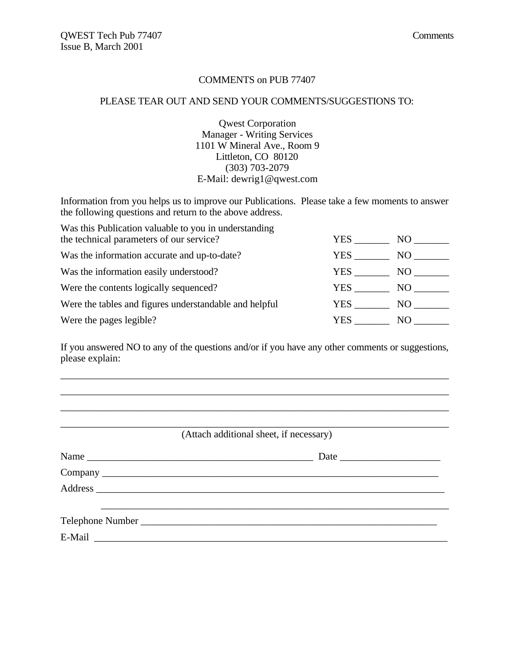# COMMENTS on PUB 77407

#### PLEASE TEAR OUT AND SEND YOUR COMMENTS/SUGGESTIONS TO:

Qwest Corporation Manager - Writing Services 1101 W Mineral Ave., Room 9 Littleton, CO 80120 (303) 703-2079 E-Mail: dewrig1@qwest.com

Information from you helps us to improve our Publications. Please take a few moments to answer the following questions and return to the above address.

| Was this Publication valuable to you in understanding  |      |     |
|--------------------------------------------------------|------|-----|
| the technical parameters of our service?               | YES. | NO. |
| Was the information accurate and up-to-date?           | YES  | NO. |
| Was the information easily understood?                 | YES. | NO. |
| Were the contents logically sequenced?                 | YES. | NO. |
| Were the tables and figures understandable and helpful | YES. | NO. |
| Were the pages legible?                                | YES. | NО  |

If you answered NO to any of the questions and/or if you have any other comments or suggestions, please explain:

\_\_\_\_\_\_\_\_\_\_\_\_\_\_\_\_\_\_\_\_\_\_\_\_\_\_\_\_\_\_\_\_\_\_\_\_\_\_\_\_\_\_\_\_\_\_\_\_\_\_\_\_\_\_\_\_\_\_\_\_\_\_\_\_\_\_\_\_\_\_\_\_\_\_\_\_\_

| (Attach additional sheet, if necessary) |  |
|-----------------------------------------|--|
| Date                                    |  |
|                                         |  |
|                                         |  |
|                                         |  |
|                                         |  |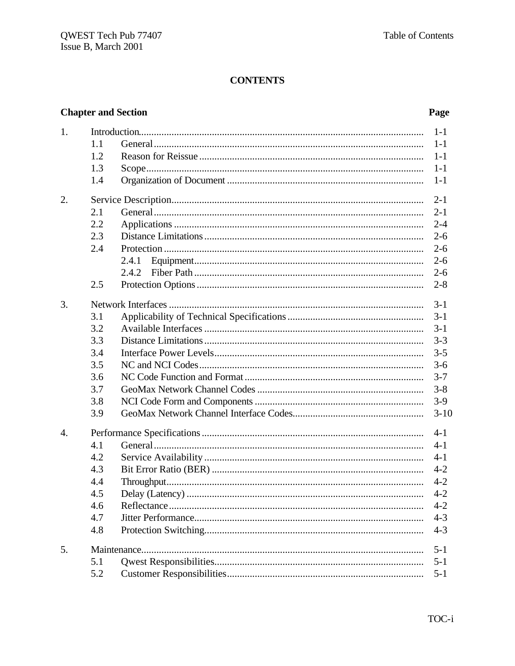# **CONTENTS**

# **Chapter and Section**

# Page

| 1.               |     |       | $1-1$    |
|------------------|-----|-------|----------|
|                  | 1.1 |       | $1 - 1$  |
|                  | 1.2 |       | $1 - 1$  |
|                  | 1.3 |       | $1-1$    |
|                  | 1.4 |       | $1 - 1$  |
| 2.               |     |       | $2 - 1$  |
|                  | 2.1 |       | $2 - 1$  |
|                  | 2.2 |       | $2 - 4$  |
|                  | 2.3 |       | $2 - 6$  |
|                  | 2.4 |       | $2 - 6$  |
|                  |     | 2.4.1 | $2 - 6$  |
|                  |     | 2.4.2 | $2 - 6$  |
|                  | 2.5 |       | $2 - 8$  |
| 3.               |     |       | $3-1$    |
|                  | 3.1 |       | $3 - 1$  |
|                  | 3.2 |       | $3 - 1$  |
|                  | 3.3 |       | $3 - 3$  |
|                  | 3.4 |       | $3 - 5$  |
|                  | 3.5 |       | $3-6$    |
|                  | 3.6 |       | $3 - 7$  |
|                  | 3.7 |       | $3 - 8$  |
|                  | 3.8 |       | $3-9$    |
|                  | 3.9 |       | $3 - 10$ |
| $\overline{4}$ . |     |       | $4 - 1$  |
|                  | 4.1 |       | $4 - 1$  |
|                  | 4.2 |       | $4 - 1$  |
|                  | 4.3 |       | $4 - 2$  |
|                  | 4.4 |       | $4 - 2$  |
|                  | 4.5 |       | $4 - 2$  |
|                  | 4.6 |       | $4 - 2$  |
|                  | 4.7 |       | $4 - 3$  |
|                  | 4.8 |       | $4 - 3$  |
| 5.               |     |       | $5 - 1$  |
|                  | 5.1 |       | $5 - 1$  |
|                  | 5.2 |       | $5 - 1$  |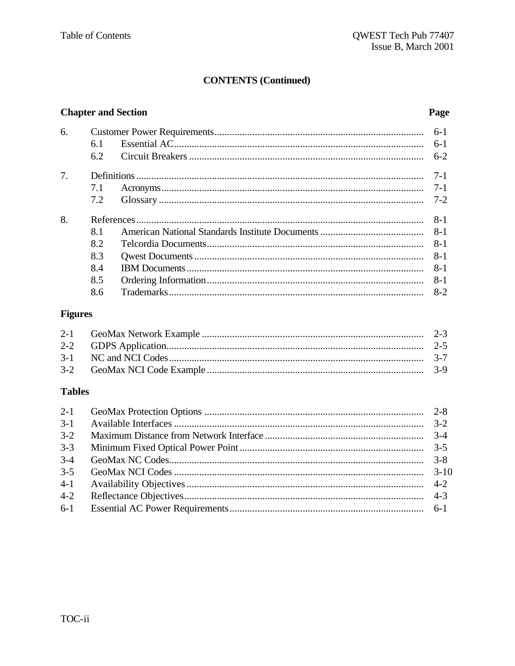# **CONTENTS (Continued)**

# **Chapter and Section**

# Page

| 6. |     | $6-1$   |
|----|-----|---------|
|    | 6.1 | $6-1$   |
|    | 6.2 | $6-2$   |
| 7. |     | $7 - 1$ |
|    | 7.1 | $7 - 1$ |
|    | 7.2 | $7 - 2$ |
| 8. |     | $8 - 1$ |
|    | 8.1 | $8 - 1$ |
|    | 8.2 | $8 - 1$ |
|    | 8.3 | $8 - 1$ |
|    | 8.4 | $8 - 1$ |
|    | 8.5 | $8 - 1$ |
|    | 8.6 | $8-2$   |

# **Figures**

# **Tables**

| $3-1$   |  |
|---------|--|
| $3 - 2$ |  |
| $3 - 3$ |  |
| $3 - 4$ |  |
| $3 - 5$ |  |
|         |  |
| $4 - 2$ |  |
|         |  |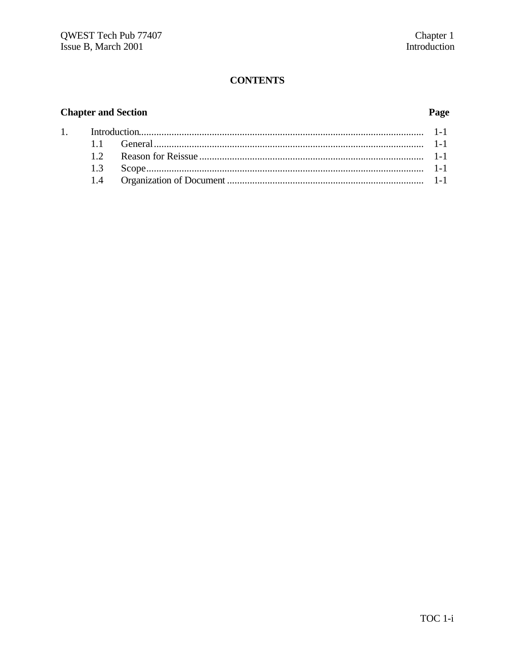# **CONTENTS**

# **Chapter and Section**

 $\overline{1}$ .

# Page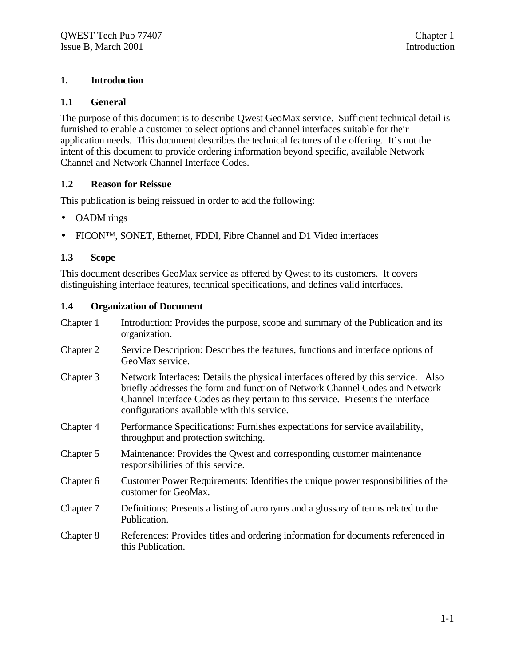# **1. Introduction**

# **1.1 General**

The purpose of this document is to describe Qwest GeoMax service. Sufficient technical detail is furnished to enable a customer to select options and channel interfaces suitable for their application needs. This document describes the technical features of the offering. It's not the intent of this document to provide ordering information beyond specific, available Network Channel and Network Channel Interface Codes.

# **1.2 Reason for Reissue**

This publication is being reissued in order to add the following:

- OADM rings
- FICON<sup>TM</sup>, SONET, Ethernet, FDDI, Fibre Channel and D1 Video interfaces

# **1.3 Scope**

This document describes GeoMax service as offered by Qwest to its customers. It covers distinguishing interface features, technical specifications, and defines valid interfaces.

# **1.4 Organization of Document**

| Chapter 1 | Introduction: Provides the purpose, scope and summary of the Publication and its<br>organization.                                                                                                                                                                                                   |
|-----------|-----------------------------------------------------------------------------------------------------------------------------------------------------------------------------------------------------------------------------------------------------------------------------------------------------|
| Chapter 2 | Service Description: Describes the features, functions and interface options of<br>GeoMax service.                                                                                                                                                                                                  |
| Chapter 3 | Network Interfaces: Details the physical interfaces offered by this service. Also<br>briefly addresses the form and function of Network Channel Codes and Network<br>Channel Interface Codes as they pertain to this service. Presents the interface<br>configurations available with this service. |
| Chapter 4 | Performance Specifications: Furnishes expectations for service availability,<br>throughput and protection switching.                                                                                                                                                                                |
| Chapter 5 | Maintenance: Provides the Qwest and corresponding customer maintenance<br>responsibilities of this service.                                                                                                                                                                                         |
| Chapter 6 | Customer Power Requirements: Identifies the unique power responsibilities of the<br>customer for GeoMax.                                                                                                                                                                                            |
| Chapter 7 | Definitions: Presents a listing of acronyms and a glossary of terms related to the<br>Publication.                                                                                                                                                                                                  |
| Chapter 8 | References: Provides titles and ordering information for documents referenced in<br>this Publication.                                                                                                                                                                                               |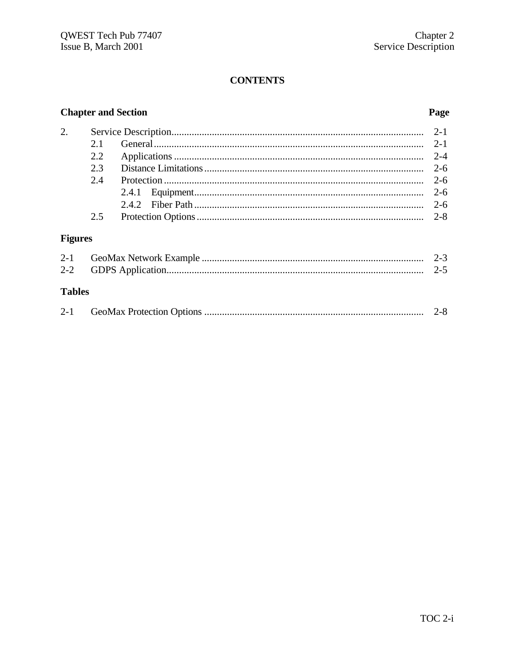# **CONTENTS**

# **Chapter and Section**

# Page

| 2.             |      |       | $2 - 1$ |
|----------------|------|-------|---------|
|                | 2.1  |       | $2 - 1$ |
|                | 2.2. |       | $2 - 4$ |
|                | 2.3  |       | $2 - 6$ |
|                | 2.4  |       | $2 - 6$ |
|                |      | 2.4.1 | $2 - 6$ |
|                |      | 2.4.2 | $2 - 6$ |
|                | 2.5  |       | $2 - 8$ |
| <b>Figures</b> |      |       |         |
| $2 - 1$        |      |       | $2 - 3$ |
| $2 - 2$        |      |       | $2 - 5$ |

# **Tables**

|  |  | $2 - 0$ |
|--|--|---------|
|--|--|---------|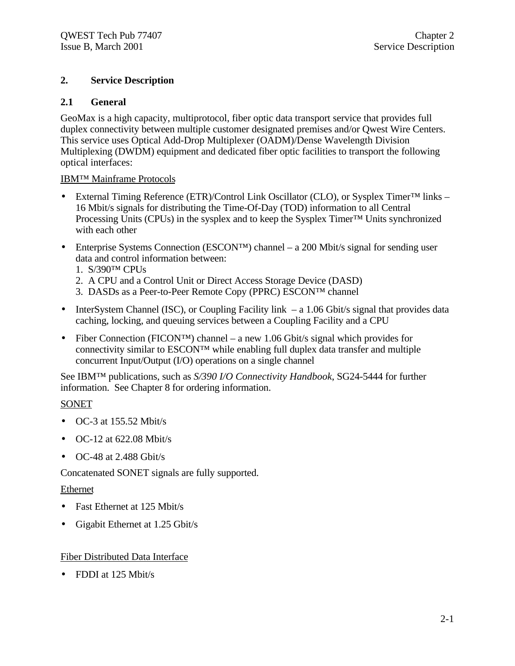# **2. Service Description**

# **2.1 General**

GeoMax is a high capacity, multiprotocol, fiber optic data transport service that provides full duplex connectivity between multiple customer designated premises and/or Qwest Wire Centers. This service uses Optical Add-Drop Multiplexer (OADM)/Dense Wavelength Division Multiplexing (DWDM) equipment and dedicated fiber optic facilities to transport the following optical interfaces:

# IBM™ Mainframe Protocols

- External Timing Reference (ETR)/Control Link Oscillator (CLO), or Sysplex Timer™ links 16 Mbit/s signals for distributing the Time-Of-Day (TOD) information to all Central Processing Units (CPUs) in the sysplex and to keep the Sysplex Timer<sup>™</sup> Units synchronized with each other
- Enterprise Systems Connection (ESCON<sup>TM</sup>) channel a 200 Mbit/s signal for sending user data and control information between:
	- 1. S/390™ CPUs
	- 2. A CPU and a Control Unit or Direct Access Storage Device (DASD)
	- 3. DASDs as a Peer-to-Peer Remote Copy (PPRC) ESCON™ channel
- InterSystem Channel (ISC), or Coupling Facility link a 1.06 Gbit/s signal that provides data caching, locking, and queuing services between a Coupling Facility and a CPU
- Fiber Connection (FICON<sup>TM</sup>) channel a new 1.06 Gbit/s signal which provides for connectivity similar to  $ESCON^{TM}$  while enabling full duplex data transfer and multiple concurrent Input/Output (I/O) operations on a single channel

See IBM™ publications, such as *S/390 I/O Connectivity Handbook*, SG24-5444 for further information. See Chapter 8 for ordering information.

# SONET

- $\bullet$  OC-3 at 155.52 Mbit/s
- OC-12 at 622.08 Mbit/s
- $\bullet$  OC-48 at 2.488 Gbit/s

Concatenated SONET signals are fully supported.

# Ethernet

- Fast Ethernet at 125 Mbit/s
- Gigabit Ethernet at 1.25 Gbit/s

# Fiber Distributed Data Interface

• FDDI at 125 Mbit/s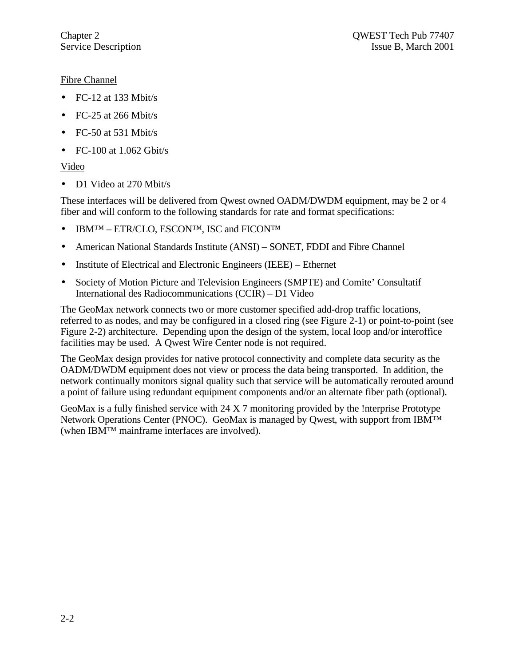# Fibre Channel

- $\bullet$  FC-12 at 133 Mbit/s
- FC-25 at 266 Mbit/s
- FC-50 at 531 Mbit/s
- FC-100 at  $1.062$  Gbit/s

# Video

• D1 Video at 270 Mbit/s

These interfaces will be delivered from Qwest owned OADM/DWDM equipment, may be 2 or 4 fiber and will conform to the following standards for rate and format specifications:

- IBM<sup>TM</sup> ETR/CLO, ESCON<sup>TM</sup>, ISC and FICON<sup>TM</sup>
- American National Standards Institute (ANSI) SONET, FDDI and Fibre Channel
- Institute of Electrical and Electronic Engineers (IEEE) Ethernet
- Society of Motion Picture and Television Engineers (SMPTE) and Comite' Consultatif International des Radiocommunications (CCIR) – D1 Video

The GeoMax network connects two or more customer specified add-drop traffic locations, referred to as nodes, and may be configured in a closed ring (see Figure 2-1) or point-to-point (see Figure 2-2) architecture. Depending upon the design of the system, local loop and/or interoffice facilities may be used. A Qwest Wire Center node is not required.

The GeoMax design provides for native protocol connectivity and complete data security as the OADM/DWDM equipment does not view or process the data being transported. In addition, the network continually monitors signal quality such that service will be automatically rerouted around a point of failure using redundant equipment components and/or an alternate fiber path (optional).

GeoMax is a fully finished service with 24 X 7 monitoring provided by the !nterprise Prototype Network Operations Center (PNOC). GeoMax is managed by Qwest, with support from IBM™ (when IBM™ mainframe interfaces are involved).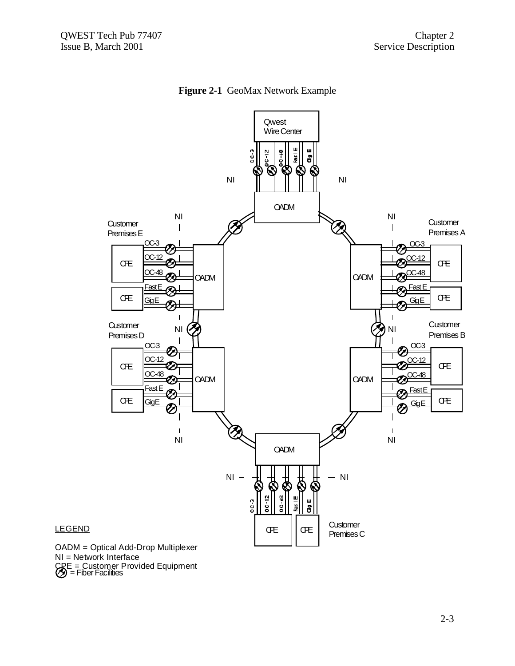



#### = Fiber Facilities OADM = Optical Add-Drop Multiplexer NI = Network Interface CRE = Customer Provided Equipment

LEGEND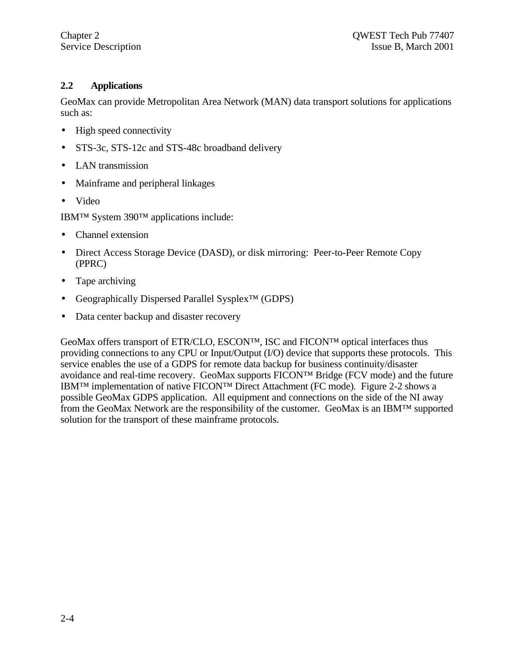# **2.2 Applications**

GeoMax can provide Metropolitan Area Network (MAN) data transport solutions for applications such as:

- High speed connectivity
- STS-3c, STS-12c and STS-48c broadband delivery
- LAN transmission
- Mainframe and peripheral linkages
- Video

IBM™ System 390™ applications include:

- Channel extension
- Direct Access Storage Device (DASD), or disk mirroring: Peer-to-Peer Remote Copy (PPRC)
- Tape archiving
- Geographically Dispersed Parallel Sysplex™ (GDPS)
- Data center backup and disaster recovery

GeoMax offers transport of ETR/CLO, ESCON™, ISC and FICON™ optical interfaces thus providing connections to any CPU or Input/Output (I/O) device that supports these protocols. This service enables the use of a GDPS for remote data backup for business continuity/disaster avoidance and real-time recovery. GeoMax supports FICON™ Bridge (FCV mode) and the future IBM™ implementation of native FICON™ Direct Attachment (FC mode). Figure 2-2 shows a possible GeoMax GDPS application. All equipment and connections on the side of the NI away from the GeoMax Network are the responsibility of the customer. GeoMax is an IBM™ supported solution for the transport of these mainframe protocols.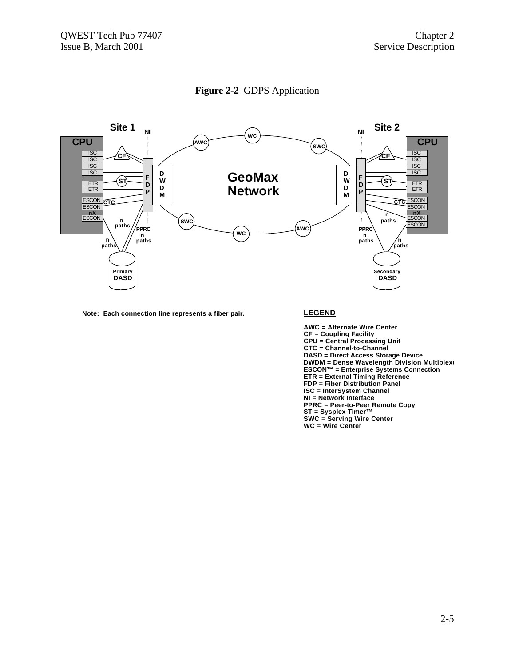



**Note: Each connection line represents a fiber pair. LEGEND**

**AWC = Alternate Wire Center CF = Coupling Facility CPU = Central Processing Unit CTC = Channel-to-Channel DASD = Direct Access Storage Device DWDM = Dense Wavelength Division Multiplex ESCON™ = Enterprise Systems Connection ETR = External Timing Reference FDP = Fiber Distribution Panel ISC = InterSystem Channel NI = Network Interface PPRC = Peer-to-Peer Remote Copy ST = Sysplex Timer™ SWC = Serving Wire Center WC = Wire Center**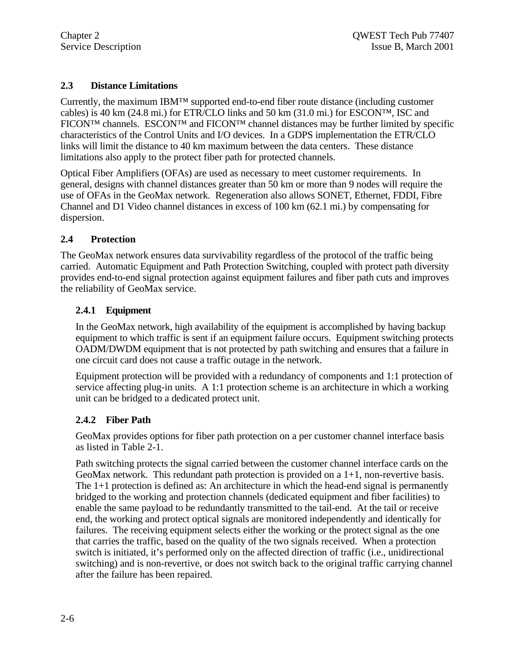# **2.3 Distance Limitations**

Currently, the maximum IBM™ supported end-to-end fiber route distance (including customer cables) is 40 km (24.8 mi.) for ETR/CLO links and 50 km (31.0 mi.) for ESCON™, ISC and FICON™ channels. ESCON™ and FICON™ channel distances may be further limited by specific characteristics of the Control Units and I/O devices. In a GDPS implementation the ETR/CLO links will limit the distance to 40 km maximum between the data centers. These distance limitations also apply to the protect fiber path for protected channels.

Optical Fiber Amplifiers (OFAs) are used as necessary to meet customer requirements. In general, designs with channel distances greater than 50 km or more than 9 nodes will require the use of OFAs in the GeoMax network. Regeneration also allows SONET, Ethernet, FDDI, Fibre Channel and D1 Video channel distances in excess of 100 km (62.1 mi.) by compensating for dispersion.

# **2.4 Protection**

The GeoMax network ensures data survivability regardless of the protocol of the traffic being carried. Automatic Equipment and Path Protection Switching, coupled with protect path diversity provides end-to-end signal protection against equipment failures and fiber path cuts and improves the reliability of GeoMax service.

# **2.4.1 Equipment**

In the GeoMax network, high availability of the equipment is accomplished by having backup equipment to which traffic is sent if an equipment failure occurs. Equipment switching protects OADM/DWDM equipment that is not protected by path switching and ensures that a failure in one circuit card does not cause a traffic outage in the network.

Equipment protection will be provided with a redundancy of components and 1:1 protection of service affecting plug-in units. A 1:1 protection scheme is an architecture in which a working unit can be bridged to a dedicated protect unit.

# **2.4.2 Fiber Path**

GeoMax provides options for fiber path protection on a per customer channel interface basis as listed in Table 2-1.

Path switching protects the signal carried between the customer channel interface cards on the GeoMax network. This redundant path protection is provided on a  $1+1$ , non-revertive basis. The 1+1 protection is defined as: An architecture in which the head-end signal is permanently bridged to the working and protection channels (dedicated equipment and fiber facilities) to enable the same payload to be redundantly transmitted to the tail-end. At the tail or receive end, the working and protect optical signals are monitored independently and identically for failures. The receiving equipment selects either the working or the protect signal as the one that carries the traffic, based on the quality of the two signals received. When a protection switch is initiated, it's performed only on the affected direction of traffic (i.e., unidirectional switching) and is non-revertive, or does not switch back to the original traffic carrying channel after the failure has been repaired.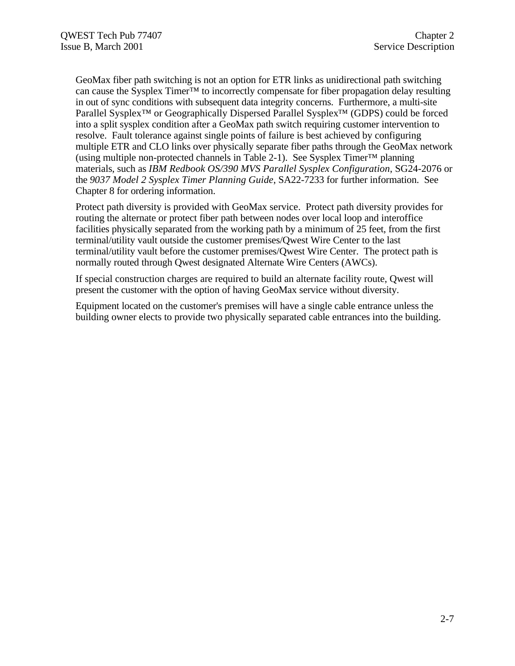GeoMax fiber path switching is not an option for ETR links as unidirectional path switching can cause the Sysplex Timer™ to incorrectly compensate for fiber propagation delay resulting in out of sync conditions with subsequent data integrity concerns. Furthermore, a multi-site Parallel Sysplex<sup>™</sup> or Geographically Dispersed Parallel Sysplex<sup>™</sup> (GDPS) could be forced into a split sysplex condition after a GeoMax path switch requiring customer intervention to resolve. Fault tolerance against single points of failure is best achieved by configuring multiple ETR and CLO links over physically separate fiber paths through the GeoMax network (using multiple non-protected channels in Table 2-1). See Sysplex Timer™ planning materials, such as *IBM Redbook OS/390 MVS Parallel Sysplex Configuration*, SG24-2076 or the *9037 Model 2 Sysplex Timer Planning Guide*, SA22-7233 for further information. See Chapter 8 for ordering information.

Protect path diversity is provided with GeoMax service. Protect path diversity provides for routing the alternate or protect fiber path between nodes over local loop and interoffice facilities physically separated from the working path by a minimum of 25 feet, from the first terminal/utility vault outside the customer premises/Qwest Wire Center to the last terminal/utility vault before the customer premises/Qwest Wire Center. The protect path is normally routed through Qwest designated Alternate Wire Centers (AWCs).

If special construction charges are required to build an alternate facility route, Qwest will present the customer with the option of having GeoMax service without diversity.

Equipment located on the customer's premises will have a single cable entrance unless the building owner elects to provide two physically separated cable entrances into the building.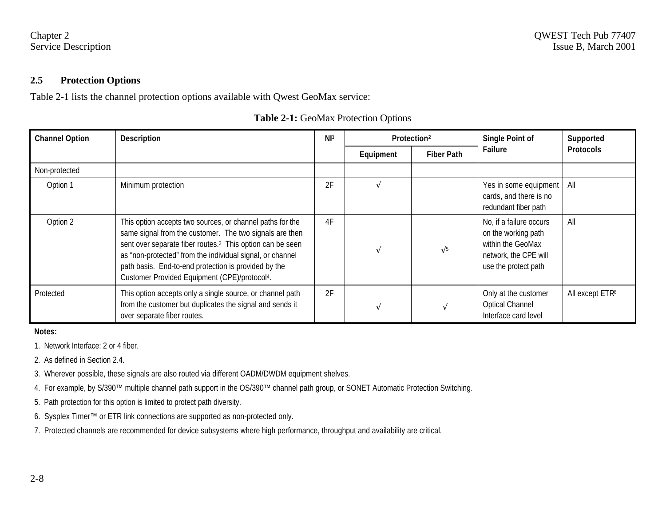#### **2.5 Protection Options**

Table 2-1 lists the channel protection options available with Qwest GeoMax service:

| <b>Channel Option</b> | <b>Description</b>                                                                                                                                                                                                                                                                                                                                                              | N1 <sup>1</sup> | Protection <sup>2</sup> |                   | <b>Single Point of</b>                                                                                               | Supported                   |
|-----------------------|---------------------------------------------------------------------------------------------------------------------------------------------------------------------------------------------------------------------------------------------------------------------------------------------------------------------------------------------------------------------------------|-----------------|-------------------------|-------------------|----------------------------------------------------------------------------------------------------------------------|-----------------------------|
|                       |                                                                                                                                                                                                                                                                                                                                                                                 |                 | Equipment               | <b>Fiber Path</b> | Failure                                                                                                              | <b>Protocols</b>            |
| Non-protected         |                                                                                                                                                                                                                                                                                                                                                                                 |                 |                         |                   |                                                                                                                      |                             |
| Option 1              | Minimum protection                                                                                                                                                                                                                                                                                                                                                              | 2F              |                         |                   | Yes in some equipment<br>cards, and there is no<br>redundant fiber path                                              | All                         |
| Option 2              | This option accepts two sources, or channel paths for the<br>same signal from the customer. The two signals are then<br>sent over separate fiber routes. <sup>3</sup> This option can be seen<br>as "non-protected" from the individual signal, or channel<br>path basis. End-to-end protection is provided by the<br>Customer Provided Equipment (CPE)/protocol <sup>4</sup> . | 4F              |                         | $\sqrt{5}$        | No, if a failure occurs<br>on the working path<br>within the GeoMax<br>network, the CPE will<br>use the protect path | All                         |
| Protected             | This option accepts only a single source, or channel path<br>from the customer but duplicates the signal and sends it<br>over separate fiber routes.                                                                                                                                                                                                                            | 2F              |                         |                   | Only at the customer<br><b>Optical Channel</b><br>Interface card level                                               | All except ETR <sup>6</sup> |

# **Table 2-1:** GeoMax Protection Options

**Notes:**

1. Network Interface: 2 or 4 fiber.

- 2. As defined in Section 2.4.
- 3. Wherever possible, these signals are also routed via different OADM/DWDM equipment shelves.
- 4. For example, by S/390™ multiple channel path support in the OS/390™ channel path group, or SONET Automatic Protection Switching.
- 5. Path protection for this option is limited to protect path diversity.
- 6. Sysplex Timer™ or ETR link connections are supported as non-protected only.
- 7. Protected channels are recommended for device subsystems where high performance, throughput and availability are critical.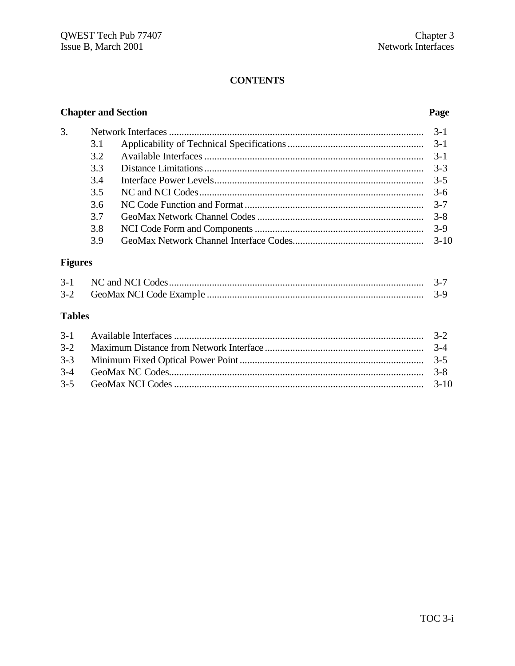# **CONTENTS**

# **Chapter and Section**

# Page

| 3.1 |         |
|-----|---------|
| 32  | $-3-1$  |
| 3.3 |         |
| 3.4 | $-3-5$  |
| 3.5 | $3 - 6$ |
| 3.6 |         |
| 37  |         |
| 3.8 |         |
| 3.9 |         |

# **Figures**

 $\overline{3}$ .

| $3 - 2$ |  |
|---------|--|

# **Tables**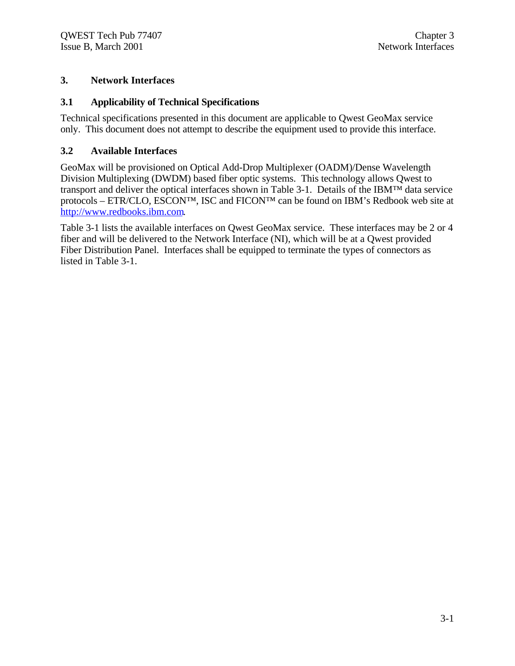# **3. Network Interfaces**

# **3.1 Applicability of Technical Specifications**

Technical specifications presented in this document are applicable to Qwest GeoMax service only. This document does not attempt to describe the equipment used to provide this interface.

# **3.2 Available Interfaces**

GeoMax will be provisioned on Optical Add-Drop Multiplexer (OADM)/Dense Wavelength Division Multiplexing (DWDM) based fiber optic systems. This technology allows Qwest to transport and deliver the optical interfaces shown in Table 3-1. Details of the IBM™ data service protocols – ETR/CLO, ESCON™, ISC and FICON™ can be found on IBM's Redbook web site at http://www.redbooks.ibm.com.

Table 3-1 lists the available interfaces on Qwest GeoMax service. These interfaces may be 2 or 4 fiber and will be delivered to the Network Interface (NI), which will be at a Qwest provided Fiber Distribution Panel. Interfaces shall be equipped to terminate the types of connectors as listed in Table 3-1.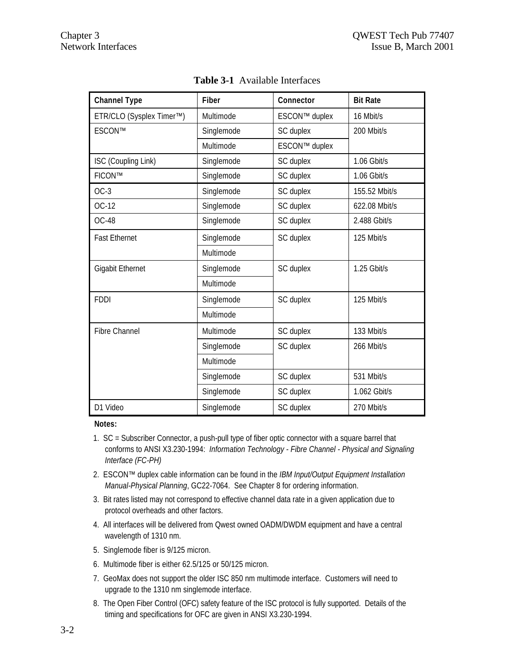| <b>Channel Type</b>      | <b>Fiber</b> | Connector                  | <b>Bit Rate</b> |
|--------------------------|--------------|----------------------------|-----------------|
| ETR/CLO (Sysplex Timer™) | Multimode    | ESCON™ duplex<br>16 Mbit/s |                 |
| ESCON™                   | Singlemode   | SC duplex                  | 200 Mbit/s      |
|                          | Multimode    | ESCON™ duplex              |                 |
| ISC (Coupling Link)      | Singlemode   | SC duplex                  | 1.06 Gbit/s     |
| FICON™                   | Singlemode   | SC duplex                  | 1.06 Gbit/s     |
| $OC-3$                   | Singlemode   | SC duplex                  | 155.52 Mbit/s   |
| $OC-12$                  | Singlemode   | SC duplex                  | 622.08 Mbit/s   |
| <b>OC-48</b>             | Singlemode   | SC duplex                  | 2.488 Gbit/s    |
| <b>Fast Ethernet</b>     | Singlemode   | SC duplex                  | 125 Mbit/s      |
|                          | Multimode    |                            |                 |
| <b>Gigabit Ethernet</b>  | Singlemode   | SC duplex                  | 1.25 Gbit/s     |
|                          | Multimode    |                            |                 |
| <b>FDDI</b>              | Singlemode   | SC duplex                  | 125 Mbit/s      |
|                          | Multimode    |                            |                 |
| <b>Fibre Channel</b>     | Multimode    | SC duplex                  | 133 Mbit/s      |
|                          | Singlemode   | SC duplex                  | 266 Mbit/s      |
|                          | Multimode    |                            |                 |
|                          | Singlemode   | SC duplex                  | 531 Mbit/s      |
|                          | Singlemode   | SC duplex                  | 1.062 Gbit/s    |
| D1 Video                 | Singlemode   | SC duplex                  | 270 Mbit/s      |

**Table 3-1** Available Interfaces

#### **Notes:**

- 1. SC = Subscriber Connector, a push-pull type of fiber optic connector with a square barrel that conforms to ANSI X3.230-1994: *Information Technology - Fibre Channel - Physical and Signaling Interface (FC-PH)*
- 2. ESCON™ duplex cable information can be found in the *IBM Input/Output Equipment Installation Manual-Physical Planning*, GC22-7064. See Chapter 8 for ordering information.
- 3. Bit rates listed may not correspond to effective channel data rate in a given application due to protocol overheads and other factors.
- 4. All interfaces will be delivered from Qwest owned OADM/DWDM equipment and have a central wavelength of 1310 nm.
- 5. Singlemode fiber is 9/125 micron.
- 6. Multimode fiber is either 62.5/125 or 50/125 micron.
- 7. GeoMax does not support the older ISC 850 nm multimode interface. Customers will need to upgrade to the 1310 nm singlemode interface.
- 8. The Open Fiber Control (OFC) safety feature of the ISC protocol is fully supported. Details of the timing and specifications for OFC are given in ANSI X3.230-1994.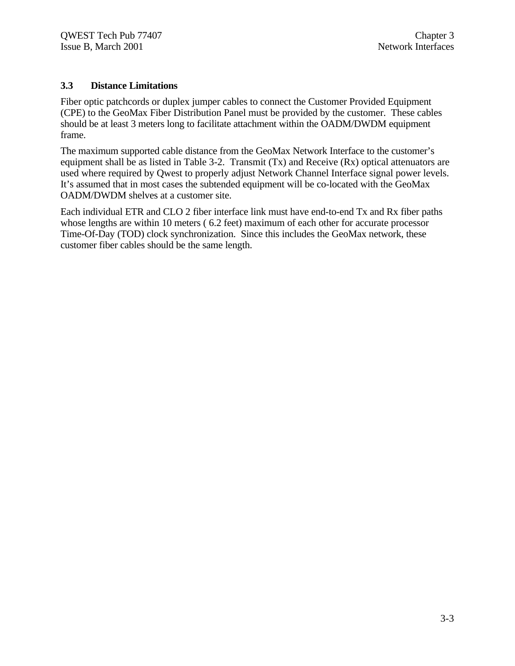# **3.3 Distance Limitations**

Fiber optic patchcords or duplex jumper cables to connect the Customer Provided Equipment (CPE) to the GeoMax Fiber Distribution Panel must be provided by the customer. These cables should be at least 3 meters long to facilitate attachment within the OADM/DWDM equipment frame.

The maximum supported cable distance from the GeoMax Network Interface to the customer's equipment shall be as listed in Table 3-2. Transmit (Tx) and Receive (Rx) optical attenuators are used where required by Qwest to properly adjust Network Channel Interface signal power levels. It's assumed that in most cases the subtended equipment will be co-located with the GeoMax OADM/DWDM shelves at a customer site.

Each individual ETR and CLO 2 fiber interface link must have end-to-end Tx and Rx fiber paths whose lengths are within 10 meters (6.2 feet) maximum of each other for accurate processor Time-Of-Day (TOD) clock synchronization. Since this includes the GeoMax network, these customer fiber cables should be the same length.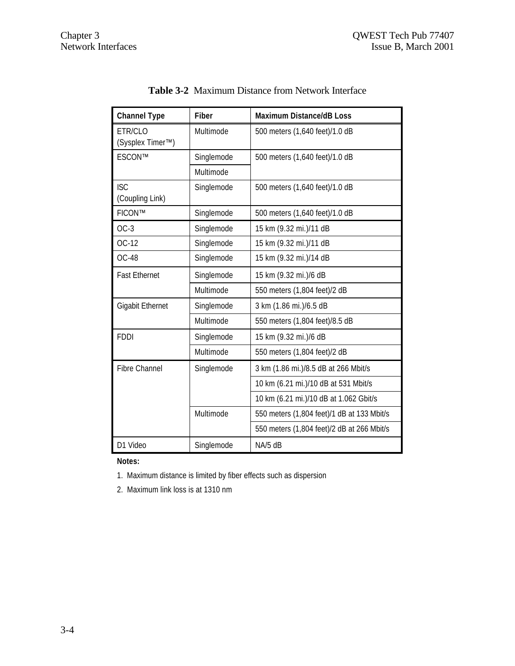| <b>Channel Type</b>                                   | <b>Fiber</b> | <b>Maximum Distance/dB Loss</b>            |  |  |
|-------------------------------------------------------|--------------|--------------------------------------------|--|--|
| Multimode<br>ETR/CLO<br>(Sysplex Timer <sup>™</sup> ) |              | 500 meters (1,640 feet)/1.0 dB             |  |  |
| ESCON™                                                | Singlemode   | 500 meters (1,640 feet)/1.0 dB             |  |  |
|                                                       | Multimode    |                                            |  |  |
| <b>ISC</b><br>(Coupling Link)                         | Singlemode   | 500 meters (1,640 feet)/1.0 dB             |  |  |
| FICON™                                                | Singlemode   | 500 meters (1,640 feet)/1.0 dB             |  |  |
| $OC-3$                                                | Singlemode   | 15 km (9.32 mi.)/11 dB                     |  |  |
| OC-12                                                 | Singlemode   | 15 km (9.32 mi.)/11 dB                     |  |  |
| <b>OC-48</b>                                          | Singlemode   | 15 km (9.32 mi.)/14 dB                     |  |  |
| <b>Fast Ethernet</b>                                  | Singlemode   | 15 km (9.32 mi.)/6 dB                      |  |  |
|                                                       | Multimode    | 550 meters (1,804 feet)/2 dB               |  |  |
| <b>Gigabit Ethernet</b><br>Singlemode                 |              | 3 km (1.86 mi.)/6.5 dB                     |  |  |
|                                                       | Multimode    | 550 meters (1,804 feet)/8.5 dB             |  |  |
| <b>FDDI</b>                                           | Singlemode   | 15 km (9.32 mi.)/6 dB                      |  |  |
|                                                       | Multimode    | 550 meters (1,804 feet)/2 dB               |  |  |
| Fibre Channel                                         | Singlemode   | 3 km (1.86 mi.)/8.5 dB at 266 Mbit/s       |  |  |
|                                                       |              | 10 km (6.21 mi.)/10 dB at 531 Mbit/s       |  |  |
|                                                       |              | 10 km (6.21 mi.)/10 dB at 1.062 Gbit/s     |  |  |
|                                                       | Multimode    | 550 meters (1,804 feet)/1 dB at 133 Mbit/s |  |  |
|                                                       |              | 550 meters (1,804 feet)/2 dB at 266 Mbit/s |  |  |
| D1 Video                                              | Singlemode   | NA/5 dB                                    |  |  |

**Table 3-2** Maximum Distance from Network Interface

**Notes:**

- 1. Maximum distance is limited by fiber effects such as dispersion
- 2. Maximum link loss is at 1310 nm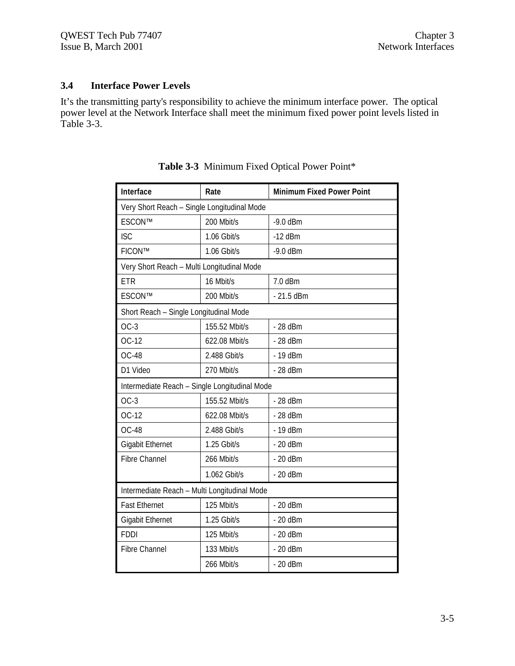# **3.4 Interface Power Levels**

It's the transmitting party's responsibility to achieve the minimum interface power. The optical power level at the Network Interface shall meet the minimum fixed power point levels listed in Table 3-3.

| Interface                                     | Rate                     | <b>Minimum Fixed Power Point</b> |  |  |  |
|-----------------------------------------------|--------------------------|----------------------------------|--|--|--|
| Very Short Reach - Single Longitudinal Mode   |                          |                                  |  |  |  |
| ESCON™                                        | 200 Mbit/s<br>$-9.0$ dBm |                                  |  |  |  |
| <b>ISC</b>                                    | 1.06 Gbit/s              | $-12$ dBm                        |  |  |  |
| FICON™                                        | 1.06 Gbit/s              | $-9.0$ dBm                       |  |  |  |
| Very Short Reach - Multi Longitudinal Mode    |                          |                                  |  |  |  |
| <b>ETR</b>                                    | 16 Mbit/s                | 7.0 dBm                          |  |  |  |
| ESCON™                                        | 200 Mbit/s               | $-21.5$ dBm                      |  |  |  |
| Short Reach - Single Longitudinal Mode        |                          |                                  |  |  |  |
| $OC-3$                                        | 155.52 Mbit/s            | - 28 dBm                         |  |  |  |
| $OC-12$                                       | 622.08 Mbit/s            | - 28 dBm                         |  |  |  |
| <b>OC-48</b>                                  | 2.488 Gbit/s             | $-19$ dBm                        |  |  |  |
| D1 Video                                      | 270 Mbit/s               | - 28 dBm                         |  |  |  |
| Intermediate Reach - Single Longitudinal Mode |                          |                                  |  |  |  |
| $OC-3$                                        | 155.52 Mbit/s            | - 28 dBm                         |  |  |  |
| OC-12                                         | 622.08 Mbit/s            | - 28 dBm                         |  |  |  |
| <b>OC-48</b>                                  | 2.488 Gbit/s             | - 19 dBm                         |  |  |  |
| <b>Gigabit Ethernet</b>                       | 1.25 Gbit/s              | $-20$ dBm                        |  |  |  |
| <b>Fibre Channel</b>                          | 266 Mbit/s               | $-20$ dBm                        |  |  |  |
|                                               | 1.062 Gbit/s             | $-20$ dBm                        |  |  |  |
| Intermediate Reach - Multi Longitudinal Mode  |                          |                                  |  |  |  |
| <b>Fast Ethernet</b>                          | 125 Mbit/s               | $-20$ dBm                        |  |  |  |
| <b>Gigabit Ethernet</b>                       | 1.25 Gbit/s              | $-20$ dBm                        |  |  |  |
| <b>FDDI</b>                                   | 125 Mbit/s               | $-20$ dBm                        |  |  |  |
| Fibre Channel                                 | 133 Mbit/s               | $-20$ dBm                        |  |  |  |
|                                               | 266 Mbit/s               | $-20$ dBm                        |  |  |  |

**Table 3-3** Minimum Fixed Optical Power Point\*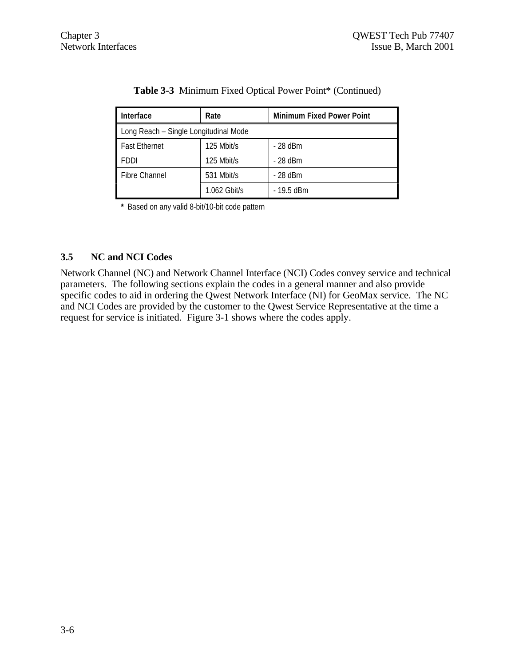| Interface<br>Rate                     |                | <b>Minimum Fixed Power Point</b> |  |  |
|---------------------------------------|----------------|----------------------------------|--|--|
| Long Reach - Single Longitudinal Mode |                |                                  |  |  |
| <b>Fast Ethernet</b>                  | 125 Mbit/s     | $-28$ dBm                        |  |  |
| <b>FDDI</b>                           | 125 Mbit/s     | $-28$ dBm                        |  |  |
| Fibre Channel                         | 531 Mbit/s     | $-28$ dBm                        |  |  |
|                                       | $1.062$ Gbit/s | $-19.5$ dBm                      |  |  |

# **Table 3-3** Minimum Fixed Optical Power Point\* (Continued)

**\*** Based on any valid 8-bit/10-bit code pattern

# **3.5 NC and NCI Codes**

Network Channel (NC) and Network Channel Interface (NCI) Codes convey service and technical parameters. The following sections explain the codes in a general manner and also provide specific codes to aid in ordering the Qwest Network Interface (NI) for GeoMax service. The NC and NCI Codes are provided by the customer to the Qwest Service Representative at the time a request for service is initiated. Figure 3-1 shows where the codes apply.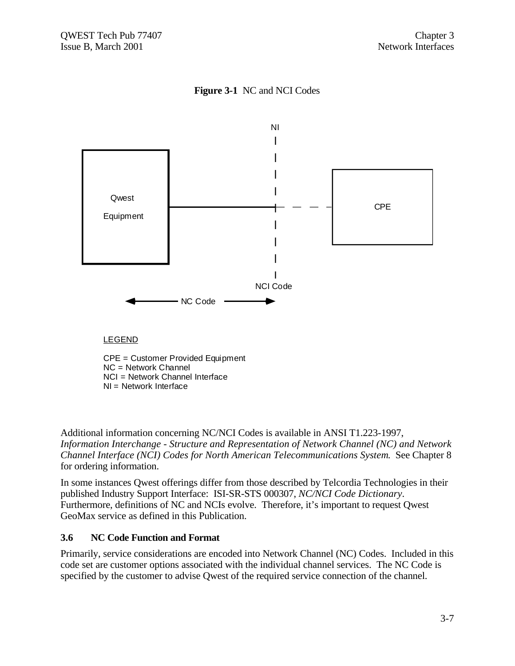# **Figure 3-1** NC and NCI Codes



Additional information concerning NC/NCI Codes is available in ANSI T1.223-1997, *Information Interchange - Structure and Representation of Network Channel (NC) and Network Channel Interface (NCI) Codes for North American Telecommunications System*. See Chapter 8 for ordering information.

In some instances Qwest offerings differ from those described by Telcordia Technologies in their published Industry Support Interface: ISI-SR-STS 000307, *NC/NCI Code Dictionary*. Furthermore, definitions of NC and NCIs evolve. Therefore, it's important to request Qwest GeoMax service as defined in this Publication.

# **3.6 NC Code Function and Format**

Primarily, service considerations are encoded into Network Channel (NC) Codes. Included in this code set are customer options associated with the individual channel services. The NC Code is specified by the customer to advise Qwest of the required service connection of the channel.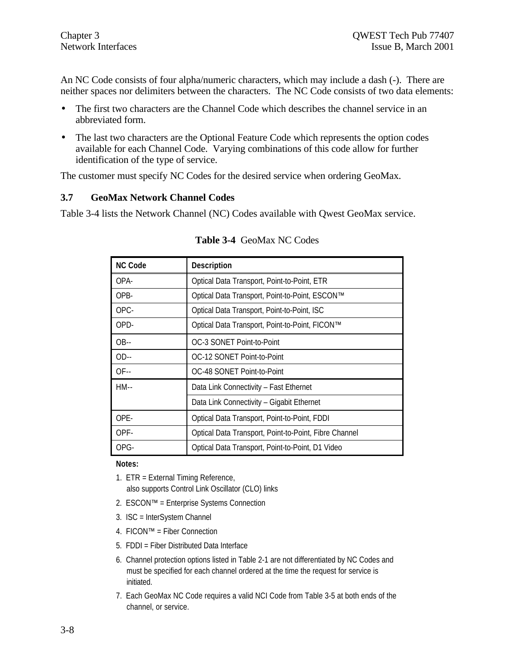An NC Code consists of four alpha/numeric characters, which may include a dash (-). There are neither spaces nor delimiters between the characters. The NC Code consists of two data elements:

- The first two characters are the Channel Code which describes the channel service in an abbreviated form.
- The last two characters are the Optional Feature Code which represents the option codes available for each Channel Code. Varying combinations of this code allow for further identification of the type of service.

The customer must specify NC Codes for the desired service when ordering GeoMax.

# **3.7 GeoMax Network Channel Codes**

Table 3-4 lists the Network Channel (NC) Codes available with Qwest GeoMax service.

| <b>NC Code</b>                                       | <b>Description</b>                                    |  |
|------------------------------------------------------|-------------------------------------------------------|--|
| OPA-                                                 | Optical Data Transport, Point-to-Point, ETR           |  |
| OPB-                                                 | Optical Data Transport, Point-to-Point, ESCON™        |  |
| OPC-                                                 | Optical Data Transport, Point-to-Point, ISC           |  |
| OPD-                                                 | Optical Data Transport, Point-to-Point, FICON™        |  |
| $OB -$                                               | OC-3 SONET Point-to-Point                             |  |
| $OD-$                                                | OC-12 SONET Point-to-Point                            |  |
| $OF -$                                               | OC-48 SONET Point-to-Point                            |  |
| $HM-$                                                | Data Link Connectivity - Fast Ethernet                |  |
|                                                      | Data Link Connectivity - Gigabit Ethernet             |  |
| OPE-<br>Optical Data Transport, Point-to-Point, FDDI |                                                       |  |
| OPF-                                                 | Optical Data Transport, Point-to-Point, Fibre Channel |  |
| OPG-                                                 | Optical Data Transport, Point-to-Point, D1 Video      |  |

#### **Table 3-4** GeoMax NC Codes

**Notes:**

- 1. ETR = External Timing Reference, also supports Control Link Oscillator (CLO) links
- 2. ESCON™ = Enterprise Systems Connection
- 3. ISC = InterSystem Channel
- 4. FICON™ = Fiber Connection
- 5. FDDI = Fiber Distributed Data Interface
- 6. Channel protection options listed in Table 2-1 are not differentiated by NC Codes and must be specified for each channel ordered at the time the request for service is initiated.
- 7. Each GeoMax NC Code requires a valid NCI Code from Table 3-5 at both ends of the channel, or service.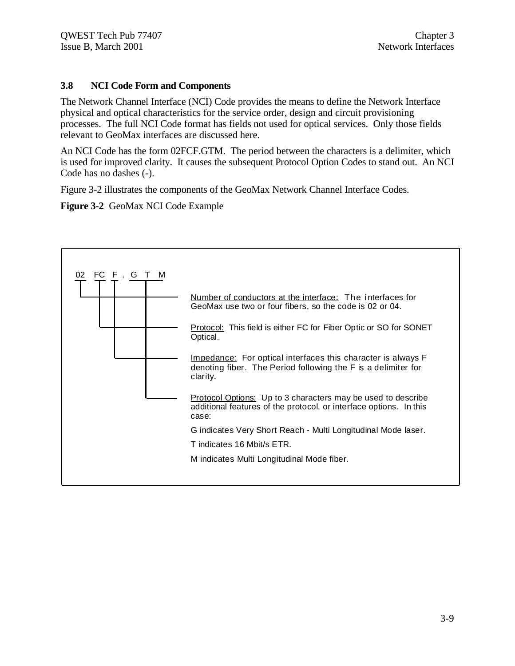# **3.8 NCI Code Form and Components**

The Network Channel Interface (NCI) Code provides the means to define the Network Interface physical and optical characteristics for the service order, design and circuit provisioning processes. The full NCI Code format has fields not used for optical services. Only those fields relevant to GeoMax interfaces are discussed here.

An NCI Code has the form 02FCF.GTM. The period between the characters is a delimiter, which is used for improved clarity. It causes the subsequent Protocol Option Codes to stand out. An NCI Code has no dashes (-).

Figure 3-2 illustrates the components of the GeoMax Network Channel Interface Codes.

**Figure 3-2** GeoMax NCI Code Example

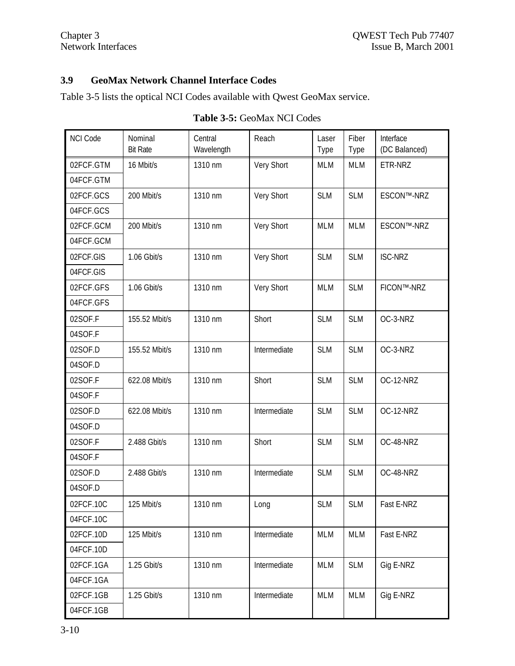# **3.9 GeoMax Network Channel Interface Codes**

Table 3-5 lists the optical NCI Codes available with Qwest GeoMax service.

| <b>NCI Code</b> | Nominal<br><b>Bit Rate</b> | Central<br>Wavelength | Reach        | Laser<br>Type | Fiber<br>Type | Interface<br>(DC Balanced) |
|-----------------|----------------------------|-----------------------|--------------|---------------|---------------|----------------------------|
| 02FCF.GTM       | 16 Mbit/s                  | 1310 nm               | Very Short   | <b>MLM</b>    | <b>MLM</b>    | ETR-NRZ                    |
| 04FCF.GTM       |                            |                       |              |               |               |                            |
| 02FCF.GCS       | 200 Mbit/s                 | 1310 nm               | Very Short   | <b>SLM</b>    | <b>SLM</b>    | ESCON™-NRZ                 |
| 04FCF.GCS       |                            |                       |              |               |               |                            |
| 02FCF.GCM       | 200 Mbit/s                 | 1310 nm               | Very Short   | <b>MLM</b>    | <b>MLM</b>    | ESCON™-NRZ                 |
| 04FCF.GCM       |                            |                       |              |               |               |                            |
| 02FCF.GIS       | 1.06 Gbit/s                | 1310 nm               | Very Short   | <b>SLM</b>    | <b>SLM</b>    | <b>ISC-NRZ</b>             |
| 04FCF.GIS       |                            |                       |              |               |               |                            |
| 02FCF.GFS       | 1.06 Gbit/s                | 1310 nm               | Very Short   | <b>MLM</b>    | <b>SLM</b>    | FICON™-NRZ                 |
| 04FCF.GFS       |                            |                       |              |               |               |                            |
| 02SOF.F         | 155.52 Mbit/s              | 1310 nm               | Short        | <b>SLM</b>    | <b>SLM</b>    | OC-3-NRZ                   |
| 04SOF.F         |                            |                       |              |               |               |                            |
| 02SOF.D         | 155.52 Mbit/s              | 1310 nm               | Intermediate | <b>SLM</b>    | <b>SLM</b>    | OC-3-NRZ                   |
| 04SOF.D         |                            |                       |              |               |               |                            |
| 02SOF.F         | 622.08 Mbit/s              | 1310 nm               | Short        | <b>SLM</b>    | <b>SLM</b>    | OC-12-NRZ                  |
| 04SOF.F         |                            |                       |              |               |               |                            |
| 02SOF.D         | 622.08 Mbit/s              | 1310 nm               | Intermediate | <b>SLM</b>    | <b>SLM</b>    | OC-12-NRZ                  |
| 04SOF.D         |                            |                       |              |               |               |                            |
| 02SOF.F         | 2.488 Gbit/s               | 1310 nm               | Short        | <b>SLM</b>    | <b>SLM</b>    | OC-48-NRZ                  |
| 04SOF.F         |                            |                       |              |               |               |                            |
| 02SOF.D         | 2.488 Gbit/s               | 1310 nm               | Intermediate | <b>SLM</b>    | <b>SLM</b>    | OC-48-NRZ                  |
| 04SOF.D         |                            |                       |              |               |               |                            |
| 02FCF.10C       | 125 Mbit/s                 | 1310 nm               | Long         | <b>SLM</b>    | <b>SLM</b>    | Fast E-NRZ                 |
| 04FCF.10C       |                            |                       |              |               |               |                            |
| 02FCF.10D       | 125 Mbit/s                 | 1310 nm               | Intermediate | <b>MLM</b>    | MLM           | Fast E-NRZ                 |
| 04FCF.10D       |                            |                       |              |               |               |                            |
| 02FCF.1GA       | 1.25 Gbit/s                | 1310 nm               | Intermediate | <b>MLM</b>    | <b>SLM</b>    | Gig E-NRZ                  |
| 04FCF.1GA       |                            |                       |              |               |               |                            |
| 02FCF.1GB       | 1.25 Gbit/s                | 1310 nm               | Intermediate | <b>MLM</b>    | MLM           | Gig E-NRZ                  |
| 04FCF.1GB       |                            |                       |              |               |               |                            |

# **Table 3-5:** GeoMax NCI Codes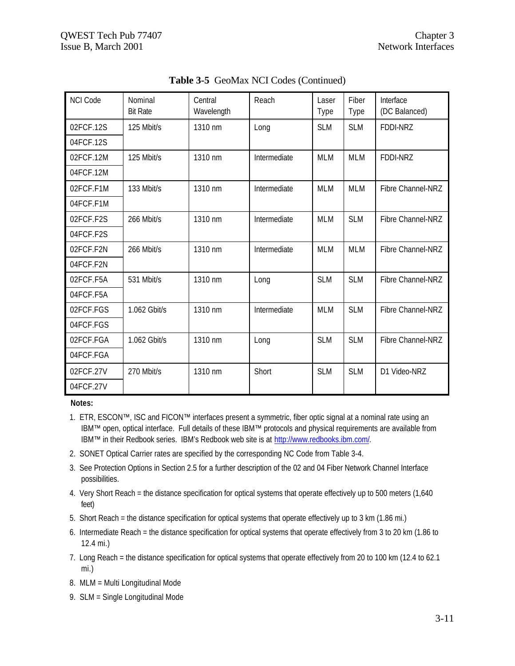$\mathbf{r}$ 

| <b>NCI Code</b> | Nominal<br><b>Bit Rate</b> | Central<br>Wavelength | Reach        | Laser<br>Type | Fiber<br>Type | Interface<br>(DC Balanced) |
|-----------------|----------------------------|-----------------------|--------------|---------------|---------------|----------------------------|
| 02FCF.12S       | 125 Mbit/s                 | 1310 nm               | Long         | <b>SLM</b>    | <b>SLM</b>    | FDDI-NRZ                   |
| 04FCF.12S       |                            |                       |              |               |               |                            |
| 02FCF.12M       | 125 Mbit/s                 | 1310 nm               | Intermediate | <b>MLM</b>    | <b>MLM</b>    | <b>FDDI-NRZ</b>            |
| 04FCF.12M       |                            |                       |              |               |               |                            |
| 02FCF.F1M       | 133 Mbit/s                 | 1310 nm               | Intermediate | <b>MLM</b>    | <b>MLM</b>    | Fibre Channel-NRZ          |
| 04FCF.F1M       |                            |                       |              |               |               |                            |
| 02FCF.F2S       | 266 Mbit/s                 | 1310 nm               | Intermediate | <b>MLM</b>    | <b>SLM</b>    | Fibre Channel-NRZ          |
| 04FCF.F2S       |                            |                       |              |               |               |                            |
| 02FCF.F2N       | 266 Mbit/s                 | 1310 nm               | Intermediate | <b>MLM</b>    | <b>MLM</b>    | Fibre Channel-NRZ          |
| 04FCF.F2N       |                            |                       |              |               |               |                            |
| 02FCF.F5A       | 531 Mbit/s                 | 1310 nm               | Long         | <b>SLM</b>    | <b>SLM</b>    | Fibre Channel-NRZ          |
| 04FCF.F5A       |                            |                       |              |               |               |                            |
| 02FCF.FGS       | 1.062 Gbit/s               | 1310 nm               | Intermediate | <b>MLM</b>    | <b>SLM</b>    | Fibre Channel-NRZ          |
| 04FCF.FGS       |                            |                       |              |               |               |                            |
| 02FCF.FGA       | 1.062 Gbit/s               | 1310 nm               | Long         | <b>SLM</b>    | <b>SLM</b>    | Fibre Channel-NRZ          |
| 04FCF.FGA       |                            |                       |              |               |               |                            |
| 02FCF.27V       | 270 Mbit/s                 | 1310 nm               | Short        | <b>SLM</b>    | <b>SLM</b>    | D1 Video-NRZ               |
| 04FCF.27V       |                            |                       |              |               |               |                            |

**Table 3-5** GeoMax NCI Codes (Continued)

#### **Notes:**

- 1. ETR, ESCON™, ISC and FICON™ interfaces present a symmetric, fiber optic signal at a nominal rate using an IBM™ open, optical interface. Full details of these IBM™ protocols and physical requirements are available from IBM™ in their Redbook series. IBM's Redbook web site is at http://www.redbooks.ibm.com/.
- 2. SONET Optical Carrier rates are specified by the corresponding NC Code from Table 3-4.
- 3. See Protection Options in Section 2.5 for a further description of the 02 and 04 Fiber Network Channel Interface possibilities.
- 4. Very Short Reach = the distance specification for optical systems that operate effectively up to 500 meters (1,640 feet)
- 5. Short Reach = the distance specification for optical systems that operate effectively up to 3 km (1.86 mi.)
- 6. Intermediate Reach = the distance specification for optical systems that operate effectively from 3 to 20 km (1.86 to 12.4 mi.)
- 7. Long Reach = the distance specification for optical systems that operate effectively from 20 to 100 km (12.4 to 62.1 mi.)
- 8. MLM = Multi Longitudinal Mode
- 9. SLM = Single Longitudinal Mode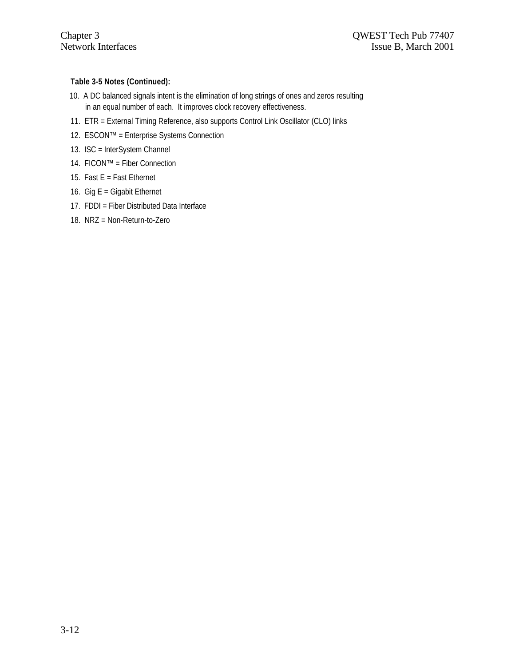### **Table 3-5 Notes (Continued):**

- 10. A DC balanced signals intent is the elimination of long strings of ones and zeros resulting in an equal number of each. It improves clock recovery effectiveness.
- 11. ETR = External Timing Reference, also supports Control Link Oscillator (CLO) links
- 12. ESCON™ = Enterprise Systems Connection
- 13. ISC = InterSystem Channel
- 14. FICON™ = Fiber Connection
- 15. Fast  $E =$  Fast Ethernet
- 16. Gig  $E =$  Gigabit Ethernet
- 17. FDDI = Fiber Distributed Data Interface
- 18. NRZ = Non-Return-to-Zero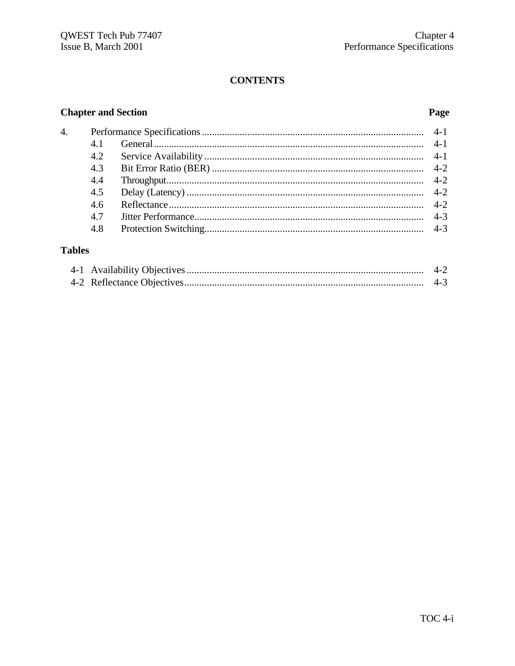# **CONTENTS**

# **Chapter and Section**

# Page

| $\overline{4}$ . |     |  |
|------------------|-----|--|
|                  | 4.1 |  |
|                  | 4.2 |  |
|                  | 4.3 |  |
|                  | 4.4 |  |
|                  | 4.5 |  |
|                  | 4.6 |  |
|                  | 4.7 |  |
|                  | 4.8 |  |
|                  |     |  |

# **Tables**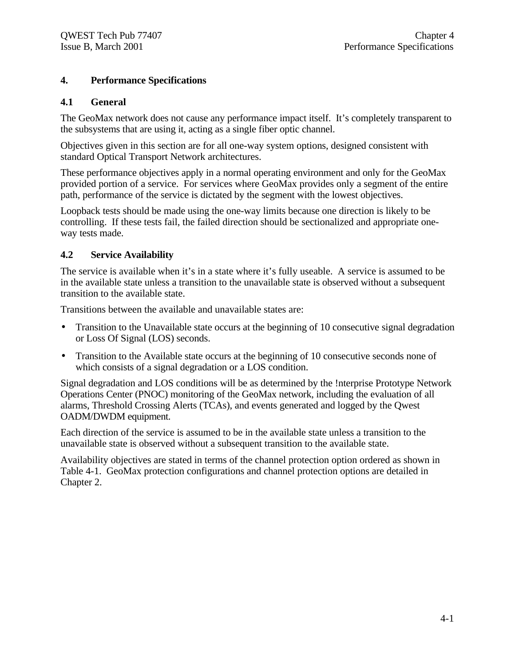# **4. Performance Specifications**

# **4.1 General**

The GeoMax network does not cause any performance impact itself. It's completely transparent to the subsystems that are using it, acting as a single fiber optic channel.

Objectives given in this section are for all one-way system options, designed consistent with standard Optical Transport Network architectures.

These performance objectives apply in a normal operating environment and only for the GeoMax provided portion of a service. For services where GeoMax provides only a segment of the entire path, performance of the service is dictated by the segment with the lowest objectives.

Loopback tests should be made using the one-way limits because one direction is likely to be controlling. If these tests fail, the failed direction should be sectionalized and appropriate oneway tests made.

# **4.2 Service Availability**

The service is available when it's in a state where it's fully useable. A service is assumed to be in the available state unless a transition to the unavailable state is observed without a subsequent transition to the available state.

Transitions between the available and unavailable states are:

- Transition to the Unavailable state occurs at the beginning of 10 consecutive signal degradation or Loss Of Signal (LOS) seconds.
- Transition to the Available state occurs at the beginning of 10 consecutive seconds none of which consists of a signal degradation or a LOS condition.

Signal degradation and LOS conditions will be as determined by the !nterprise Prototype Network Operations Center (PNOC) monitoring of the GeoMax network, including the evaluation of all alarms, Threshold Crossing Alerts (TCAs), and events generated and logged by the Qwest OADM/DWDM equipment.

Each direction of the service is assumed to be in the available state unless a transition to the unavailable state is observed without a subsequent transition to the available state.

Availability objectives are stated in terms of the channel protection option ordered as shown in Table 4-1. GeoMax protection configurations and channel protection options are detailed in Chapter 2.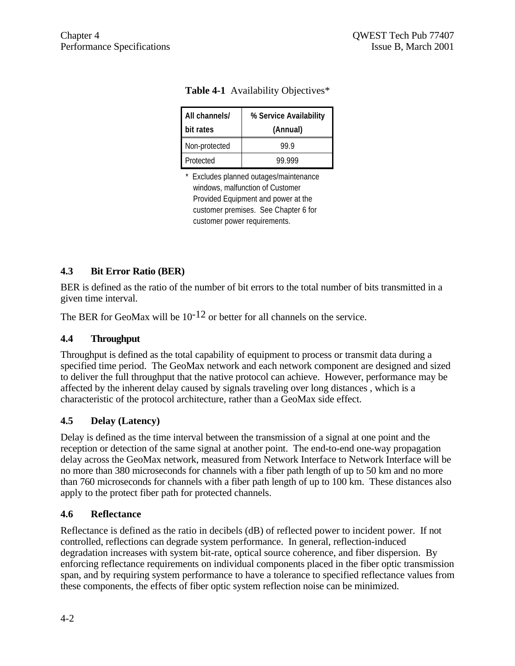| All channels/<br>bit rates | % Service Availability<br>(Annual) |
|----------------------------|------------------------------------|
| Non-protected              | 99 9                               |
| Protected                  | 99.999                             |

|  | Table 4-1 Availability Objectives* |  |
|--|------------------------------------|--|
|--|------------------------------------|--|

\* Excludes planned outages/maintenance windows, malfunction of Customer Provided Equipment and power at the customer premises. See Chapter 6 for customer power requirements.

# **4.3 Bit Error Ratio (BER)**

BER is defined as the ratio of the number of bit errors to the total number of bits transmitted in a given time interval.

The BER for GeoMax will be  $10^{-12}$  or better for all channels on the service.

# **4.4 Throughput**

Throughput is defined as the total capability of equipment to process or transmit data during a specified time period. The GeoMax network and each network component are designed and sized to deliver the full throughput that the native protocol can achieve. However, performance may be affected by the inherent delay caused by signals traveling over long distances , which is a characteristic of the protocol architecture, rather than a GeoMax side effect.

# **4.5 Delay (Latency)**

Delay is defined as the time interval between the transmission of a signal at one point and the reception or detection of the same signal at another point. The end-to-end one-way propagation delay across the GeoMax network, measured from Network Interface to Network Interface will be no more than 380 microseconds for channels with a fiber path length of up to 50 km and no more than 760 microseconds for channels with a fiber path length of up to 100 km. These distances also apply to the protect fiber path for protected channels.

# **4.6 Reflectance**

Reflectance is defined as the ratio in decibels (dB) of reflected power to incident power. If not controlled, reflections can degrade system performance. In general, reflection-induced degradation increases with system bit-rate, optical source coherence, and fiber dispersion. By enforcing reflectance requirements on individual components placed in the fiber optic transmission span, and by requiring system performance to have a tolerance to specified reflectance values from these components, the effects of fiber optic system reflection noise can be minimized.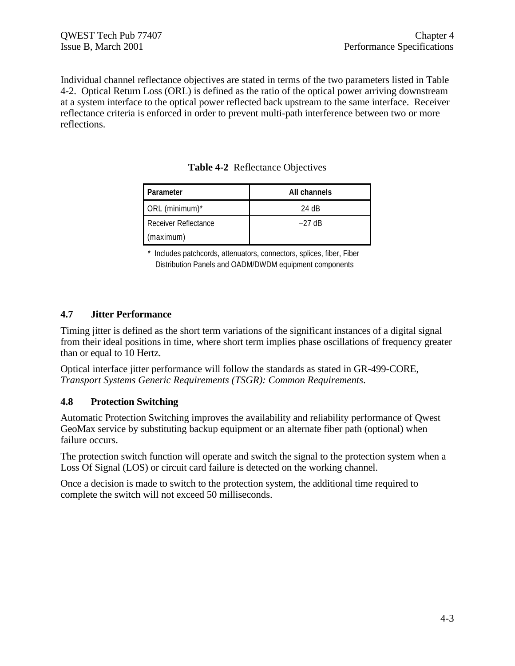Individual channel reflectance objectives are stated in terms of the two parameters listed in Table 4-2. Optical Return Loss (ORL) is defined as the ratio of the optical power arriving downstream at a system interface to the optical power reflected back upstream to the same interface. Receiver reflectance criteria is enforced in order to prevent multi-path interference between two or more reflections.

|  | <b>Table 4-2</b> Reflectance Objectives |  |
|--|-----------------------------------------|--|
|--|-----------------------------------------|--|

| <b>Parameter</b>     | All channels |
|----------------------|--------------|
| ORL (minimum)*       | 24 dB        |
| Receiver Reflectance | $-27$ dB     |
| (maximum)            |              |

\* Includes patchcords, attenuators, connectors, splices, fiber, Fiber Distribution Panels and OADM/DWDM equipment components

# **4.7 Jitter Performance**

Timing jitter is defined as the short term variations of the significant instances of a digital signal from their ideal positions in time, where short term implies phase oscillations of frequency greater than or equal to 10 Hertz.

Optical interface jitter performance will follow the standards as stated in GR-499-CORE, *Transport Systems Generic Requirements (TSGR): Common Requirements*.

# **4.8 Protection Switching**

Automatic Protection Switching improves the availability and reliability performance of Qwest GeoMax service by substituting backup equipment or an alternate fiber path (optional) when failure occurs.

The protection switch function will operate and switch the signal to the protection system when a Loss Of Signal (LOS) or circuit card failure is detected on the working channel.

Once a decision is made to switch to the protection system, the additional time required to complete the switch will not exceed 50 milliseconds.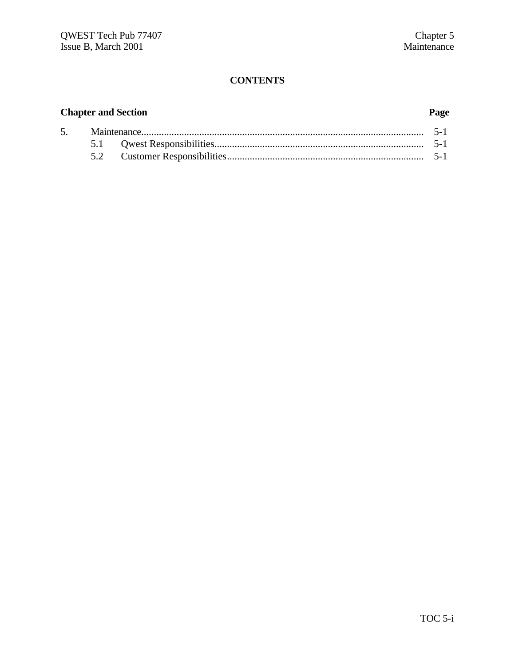# **CONTENTS**

# **Chapter and Section Page**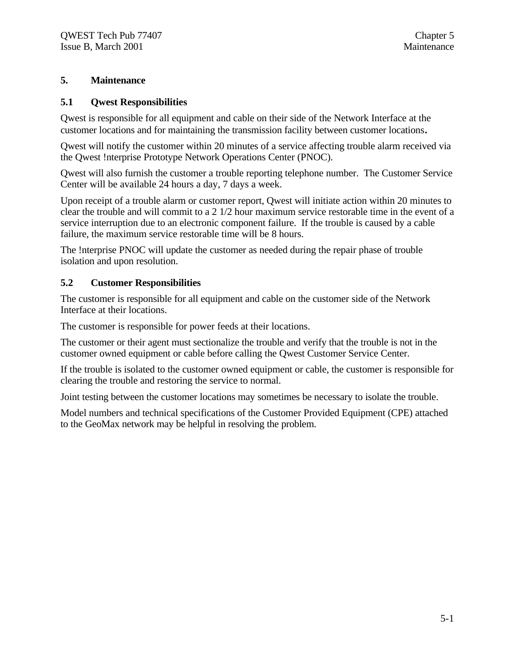# **5. Maintenance**

# **5.1 Qwest Responsibilities**

Qwest is responsible for all equipment and cable on their side of the Network Interface at the customer locations and for maintaining the transmission facility between customer locations**.**

Qwest will notify the customer within 20 minutes of a service affecting trouble alarm received via the Qwest !nterprise Prototype Network Operations Center (PNOC).

Qwest will also furnish the customer a trouble reporting telephone number. The Customer Service Center will be available 24 hours a day, 7 days a week.

Upon receipt of a trouble alarm or customer report, Qwest will initiate action within 20 minutes to clear the trouble and will commit to a 2 1/2 hour maximum service restorable time in the event of a service interruption due to an electronic component failure. If the trouble is caused by a cable failure, the maximum service restorable time will be 8 hours.

The !nterprise PNOC will update the customer as needed during the repair phase of trouble isolation and upon resolution.

# **5.2 Customer Responsibilities**

The customer is responsible for all equipment and cable on the customer side of the Network Interface at their locations.

The customer is responsible for power feeds at their locations.

The customer or their agent must sectionalize the trouble and verify that the trouble is not in the customer owned equipment or cable before calling the Qwest Customer Service Center.

If the trouble is isolated to the customer owned equipment or cable, the customer is responsible for clearing the trouble and restoring the service to normal.

Joint testing between the customer locations may sometimes be necessary to isolate the trouble.

Model numbers and technical specifications of the Customer Provided Equipment (CPE) attached to the GeoMax network may be helpful in resolving the problem.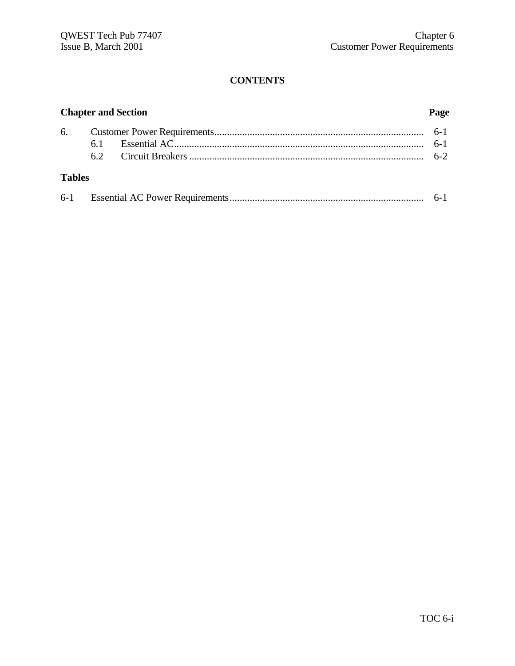# **CONTENTS**

|               | <b>Chapter and Section</b> |  | Page |
|---------------|----------------------------|--|------|
|               |                            |  |      |
|               |                            |  |      |
|               |                            |  |      |
| <b>Tables</b> |                            |  |      |
|               |                            |  |      |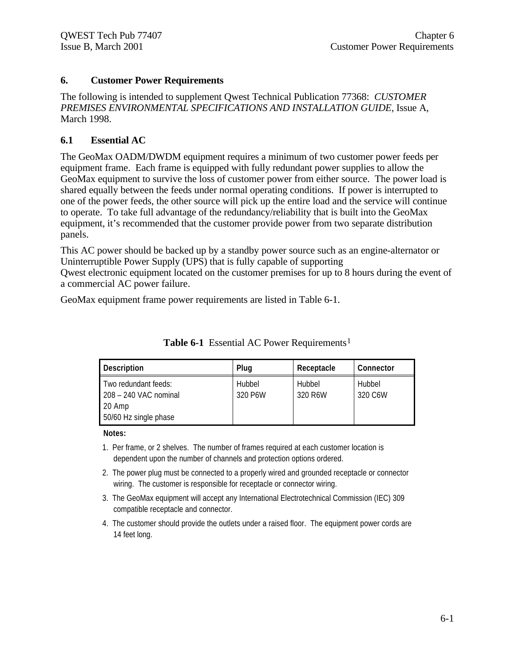# **6. Customer Power Requirements**

The following is intended to supplement Qwest Technical Publication 77368: *CUSTOMER PREMISES ENVIRONMENTAL SPECIFICATIONS AND INSTALLATION GUIDE*, Issue A, March 1998.

# **6.1 Essential AC**

The GeoMax OADM/DWDM equipment requires a minimum of two customer power feeds per equipment frame. Each frame is equipped with fully redundant power supplies to allow the GeoMax equipment to survive the loss of customer power from either source. The power load is shared equally between the feeds under normal operating conditions. If power is interrupted to one of the power feeds, the other source will pick up the entire load and the service will continue to operate. To take full advantage of the redundancy/reliability that is built into the GeoMax equipment, it's recommended that the customer provide power from two separate distribution panels.

This AC power should be backed up by a standby power source such as an engine-alternator or Uninterruptible Power Supply (UPS) that is fully capable of supporting

Qwest electronic equipment located on the customer premises for up to 8 hours during the event of a commercial AC power failure.

GeoMax equipment frame power requirements are listed in Table 6-1.

| <b>Description</b>                            | Plug              | Receptacle        | Connector         |
|-----------------------------------------------|-------------------|-------------------|-------------------|
| Two redundant feeds:<br>208 – 240 VAC nominal | Hubbel<br>320 P6W | Hubbel<br>320 R6W | Hubbel<br>320 C6W |
| 20 Amp<br>50/60 Hz single phase               |                   |                   |                   |

**Table 6-1** Essential AC Power Requirements<sup>1</sup>

#### **Notes:**

- 1. Per frame, or 2 shelves. The number of frames required at each customer location is dependent upon the number of channels and protection options ordered.
- 2. The power plug must be connected to a properly wired and grounded receptacle or connector wiring. The customer is responsible for receptacle or connector wiring.
- 3. The GeoMax equipment will accept any International Electrotechnical Commission (IEC) 309 compatible receptacle and connector.
- 4. The customer should provide the outlets under a raised floor. The equipment power cords are 14 feet long.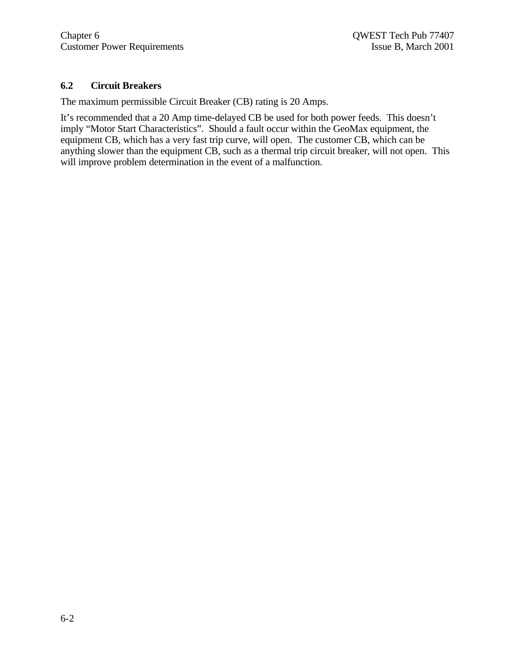# **6.2 Circuit Breakers**

The maximum permissible Circuit Breaker (CB) rating is 20 Amps.

It's recommended that a 20 Amp time-delayed CB be used for both power feeds. This doesn't imply "Motor Start Characteristics". Should a fault occur within the GeoMax equipment, the equipment CB, which has a very fast trip curve, will open. The customer CB, which can be anything slower than the equipment CB, such as a thermal trip circuit breaker, will not open. This will improve problem determination in the event of a malfunction.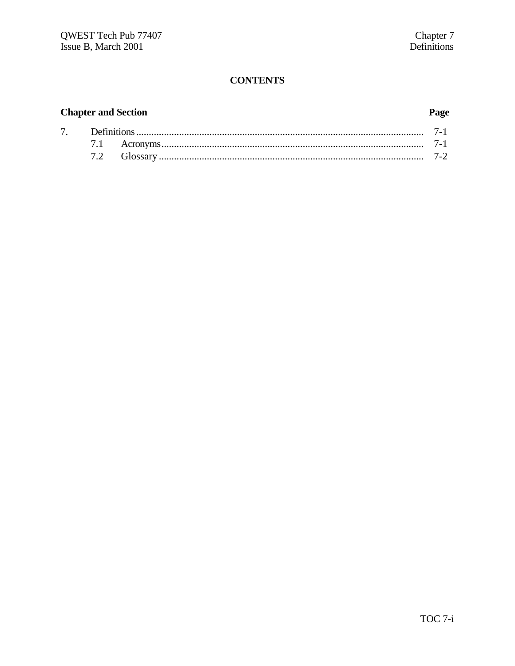# **CONTENTS**

# **Chapter and Section**

# Page

| $7^{\circ}$ |  |  |  |
|-------------|--|--|--|
|             |  |  |  |
|             |  |  |  |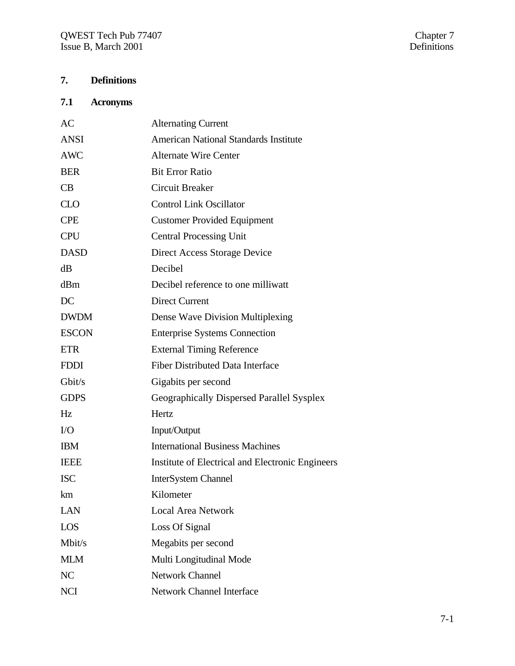# **7. Definitions**

# **7.1 Acronyms**

| AC           | <b>Alternating Current</b>                       |
|--------------|--------------------------------------------------|
| <b>ANSI</b>  | <b>American National Standards Institute</b>     |
| <b>AWC</b>   | <b>Alternate Wire Center</b>                     |
| <b>BER</b>   | <b>Bit Error Ratio</b>                           |
| CB           | <b>Circuit Breaker</b>                           |
| <b>CLO</b>   | <b>Control Link Oscillator</b>                   |
| <b>CPE</b>   | <b>Customer Provided Equipment</b>               |
| <b>CPU</b>   | <b>Central Processing Unit</b>                   |
| <b>DASD</b>  | Direct Access Storage Device                     |
| dB           | Decibel                                          |
| dBm          | Decibel reference to one milliwatt               |
| DC           | <b>Direct Current</b>                            |
| <b>DWDM</b>  | Dense Wave Division Multiplexing                 |
| <b>ESCON</b> | <b>Enterprise Systems Connection</b>             |
| <b>ETR</b>   | <b>External Timing Reference</b>                 |
| <b>FDDI</b>  | <b>Fiber Distributed Data Interface</b>          |
| Gbit/s       | Gigabits per second                              |
| <b>GDPS</b>  | Geographically Dispersed Parallel Sysplex        |
| Hz           | Hertz                                            |
| $\rm LO$     | Input/Output                                     |
| <b>IBM</b>   | <b>International Business Machines</b>           |
| <b>IEEE</b>  | Institute of Electrical and Electronic Engineers |
| <b>ISC</b>   | <b>InterSystem Channel</b>                       |
| km           | Kilometer                                        |
| LAN          | <b>Local Area Network</b>                        |
| LOS          | Loss Of Signal                                   |
| Mbit/s       | Megabits per second                              |
| <b>MLM</b>   | Multi Longitudinal Mode                          |
| NC           | <b>Network Channel</b>                           |
| <b>NCI</b>   | <b>Network Channel Interface</b>                 |
|              |                                                  |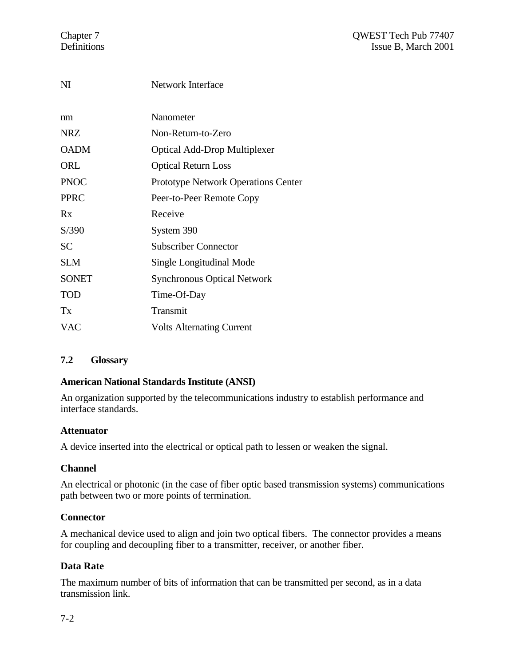| NI           | <b>Network Interface</b>                   |
|--------------|--------------------------------------------|
| nm           | Nanometer                                  |
| <b>NRZ</b>   | Non-Return-to-Zero                         |
| <b>OADM</b>  | <b>Optical Add-Drop Multiplexer</b>        |
| ORL          | <b>Optical Return Loss</b>                 |
| <b>PNOC</b>  | <b>Prototype Network Operations Center</b> |
| <b>PPRC</b>  | Peer-to-Peer Remote Copy                   |
| Rx           | Receive                                    |
| S/390        | System 390                                 |
| <b>SC</b>    | <b>Subscriber Connector</b>                |
| <b>SLM</b>   | Single Longitudinal Mode                   |
| <b>SONET</b> | <b>Synchronous Optical Network</b>         |
| TOD          | Time-Of-Day                                |
| Tx           | Transmit                                   |
| <b>VAC</b>   | <b>Volts Alternating Current</b>           |
|              |                                            |

# **7.2 Glossary**

# **American National Standards Institute (ANSI)**

An organization supported by the telecommunications industry to establish performance and interface standards.

# **Attenuator**

A device inserted into the electrical or optical path to lessen or weaken the signal.

# **Channel**

An electrical or photonic (in the case of fiber optic based transmission systems) communications path between two or more points of termination.

# **Connector**

A mechanical device used to align and join two optical fibers. The connector provides a means for coupling and decoupling fiber to a transmitter, receiver, or another fiber.

# **Data Rate**

The maximum number of bits of information that can be transmitted per second, as in a data transmission link.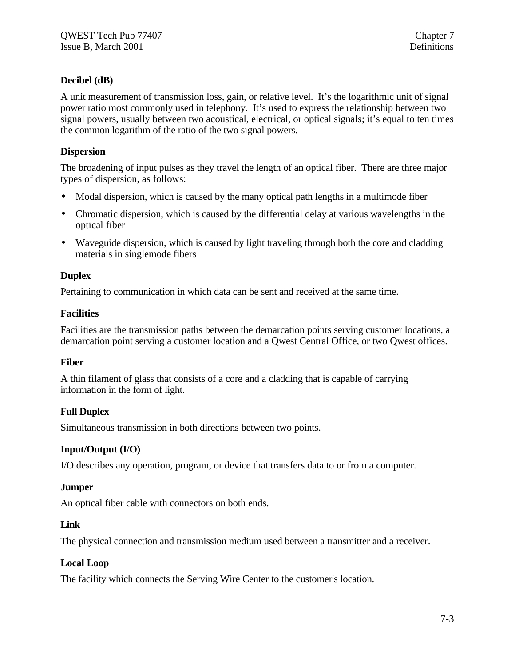# **Decibel (dB)**

A unit measurement of transmission loss, gain, or relative level. It's the logarithmic unit of signal power ratio most commonly used in telephony. It's used to express the relationship between two signal powers, usually between two acoustical, electrical, or optical signals; it's equal to ten times the common logarithm of the ratio of the two signal powers.

# **Dispersion**

The broadening of input pulses as they travel the length of an optical fiber. There are three major types of dispersion, as follows:

- Modal dispersion, which is caused by the many optical path lengths in a multimode fiber
- Chromatic dispersion, which is caused by the differential delay at various wavelengths in the optical fiber
- Waveguide dispersion, which is caused by light traveling through both the core and cladding materials in singlemode fibers

# **Duplex**

Pertaining to communication in which data can be sent and received at the same time.

# **Facilities**

Facilities are the transmission paths between the demarcation points serving customer locations, a demarcation point serving a customer location and a Qwest Central Office, or two Qwest offices.

# **Fiber**

A thin filament of glass that consists of a core and a cladding that is capable of carrying information in the form of light.

# **Full Duplex**

Simultaneous transmission in both directions between two points.

# **Input/Output (I/O)**

I/O describes any operation, program, or device that transfers data to or from a computer.

# **Jumper**

An optical fiber cable with connectors on both ends.

# **Link**

The physical connection and transmission medium used between a transmitter and a receiver.

# **Local Loop**

The facility which connects the Serving Wire Center to the customer's location.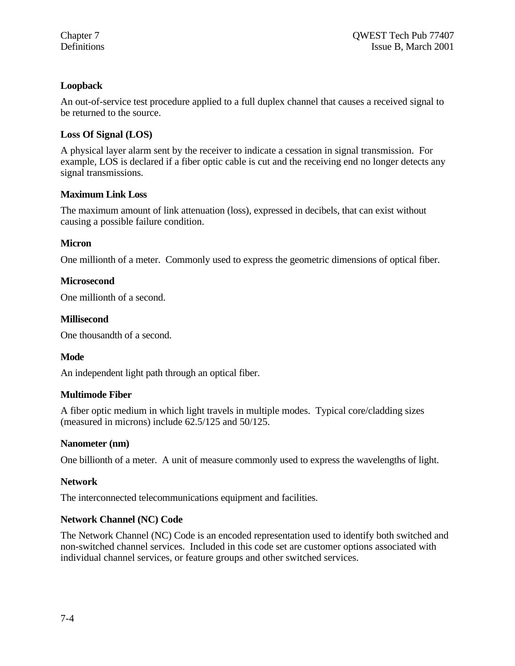# **Loopback**

An out-of-service test procedure applied to a full duplex channel that causes a received signal to be returned to the source.

# **Loss Of Signal (LOS)**

A physical layer alarm sent by the receiver to indicate a cessation in signal transmission. For example, LOS is declared if a fiber optic cable is cut and the receiving end no longer detects any signal transmissions.

# **Maximum Link Loss**

The maximum amount of link attenuation (loss), expressed in decibels, that can exist without causing a possible failure condition.

# **Micron**

One millionth of a meter. Commonly used to express the geometric dimensions of optical fiber.

# **Microsecond**

One millionth of a second.

# **Millisecond**

One thousandth of a second.

# **Mode**

An independent light path through an optical fiber.

# **Multimode Fiber**

A fiber optic medium in which light travels in multiple modes. Typical core/cladding sizes (measured in microns) include 62.5/125 and 50/125.

# **Nanometer (nm)**

One billionth of a meter. A unit of measure commonly used to express the wavelengths of light.

# **Network**

The interconnected telecommunications equipment and facilities.

# **Network Channel (NC) Code**

The Network Channel (NC) Code is an encoded representation used to identify both switched and non-switched channel services. Included in this code set are customer options associated with individual channel services, or feature groups and other switched services.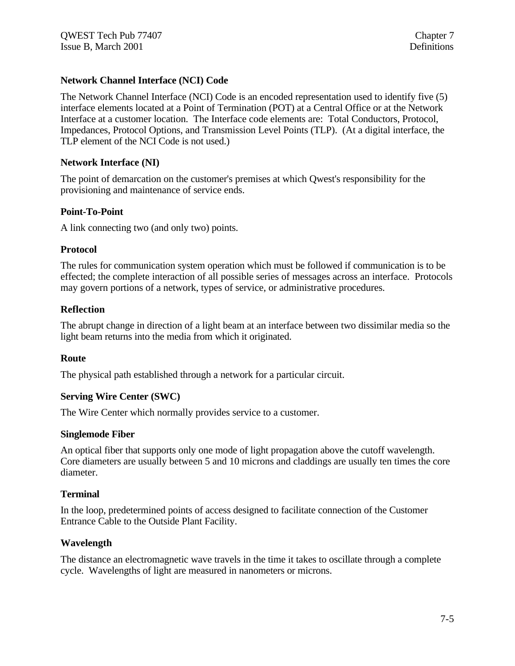# **Network Channel Interface (NCI) Code**

The Network Channel Interface (NCI) Code is an encoded representation used to identify five (5) interface elements located at a Point of Termination (POT) at a Central Office or at the Network Interface at a customer location. The Interface code elements are: Total Conductors, Protocol, Impedances, Protocol Options, and Transmission Level Points (TLP). (At a digital interface, the TLP element of the NCI Code is not used.)

# **Network Interface (NI)**

The point of demarcation on the customer's premises at which Qwest's responsibility for the provisioning and maintenance of service ends.

# **Point-To-Point**

A link connecting two (and only two) points.

# **Protocol**

The rules for communication system operation which must be followed if communication is to be effected; the complete interaction of all possible series of messages across an interface. Protocols may govern portions of a network, types of service, or administrative procedures.

# **Reflection**

The abrupt change in direction of a light beam at an interface between two dissimilar media so the light beam returns into the media from which it originated.

# **Route**

The physical path established through a network for a particular circuit.

# **Serving Wire Center (SWC)**

The Wire Center which normally provides service to a customer.

# **Singlemode Fiber**

An optical fiber that supports only one mode of light propagation above the cutoff wavelength. Core diameters are usually between 5 and 10 microns and claddings are usually ten times the core diameter.

# **Terminal**

In the loop, predetermined points of access designed to facilitate connection of the Customer Entrance Cable to the Outside Plant Facility.

# **Wavelength**

The distance an electromagnetic wave travels in the time it takes to oscillate through a complete cycle. Wavelengths of light are measured in nanometers or microns.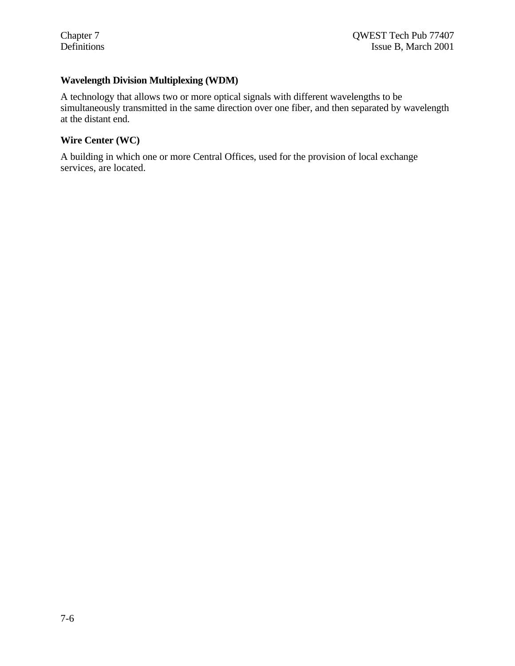# **Wavelength Division Multiplexing (WDM)**

A technology that allows two or more optical signals with different wavelengths to be simultaneously transmitted in the same direction over one fiber, and then separated by wavelength at the distant end.

# **Wire Center (WC)**

A building in which one or more Central Offices, used for the provision of local exchange services, are located.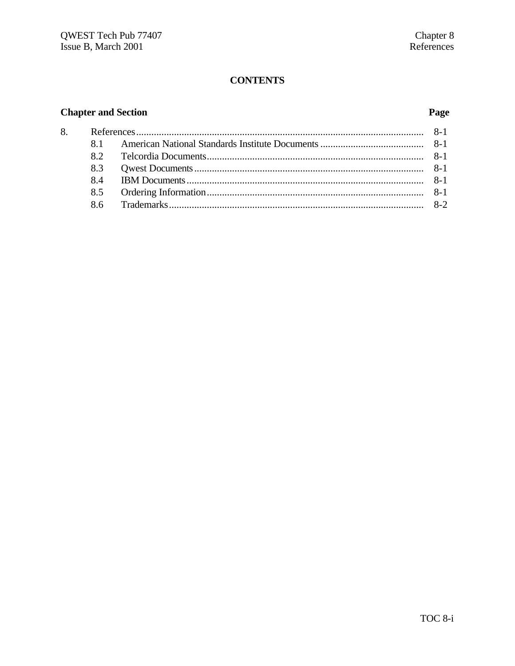# **CONTENTS**

# **Chapter and Section**

# Page

| 82 |  |  |
|----|--|--|
|    |  |  |
|    |  |  |
|    |  |  |
|    |  |  |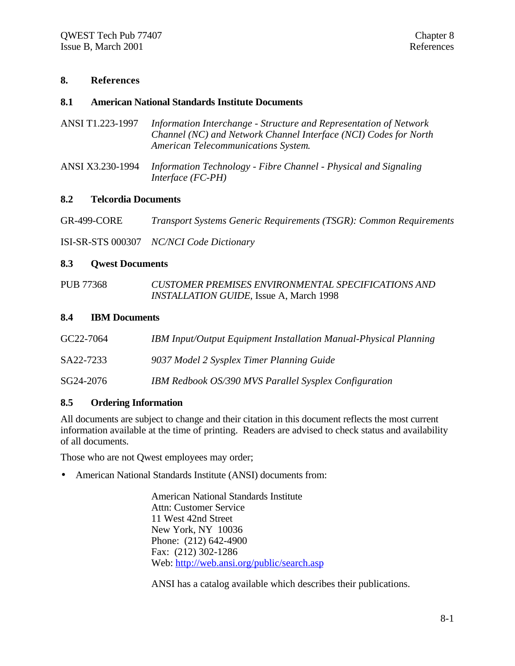# **8. References**

# **8.1 American National Standards Institute Documents**

- ANSI T1.223-1997 *Information Interchange Structure and Representation of Network Channel (NC) and Network Channel Interface (NCI) Codes for North American Telecommunications System*.
- ANSI X3.230-1994 *Information Technology Fibre Channel Physical and Signaling Interface (FC-PH)*

# **8.2 Telcordia Documents**

GR-499-CORE *Transport Systems Generic Requirements (TSGR): Common Requirements*

ISI-SR-STS 000307 *NC/NCI Code Dictionary*

## **8.3 Qwest Documents**

PUB 77368 *CUSTOMER PREMISES ENVIRONMENTAL SPECIFICATIONS AND INSTALLATION GUIDE*, Issue A, March 1998

#### **8.4 IBM Documents**

| GC22-7064 | <b>IBM Input/Output Equipment Installation Manual-Physical Planning</b> |
|-----------|-------------------------------------------------------------------------|
| SA22-7233 | 9037 Model 2 Sysplex Timer Planning Guide                               |
| SG24-2076 | IBM Redbook OS/390 MVS Parallel Sysplex Configuration                   |

# **8.5 Ordering Information**

All documents are subject to change and their citation in this document reflects the most current information available at the time of printing. Readers are advised to check status and availability of all documents.

Those who are not Qwest employees may order;

• American National Standards Institute (ANSI) documents from:

American National Standards Institute Attn: Customer Service 11 West 42nd Street New York, NY 10036 Phone: (212) 642-4900 Fax: (212) 302-1286 Web: http://web.ansi.org/public/search.asp

ANSI has a catalog available which describes their publications.